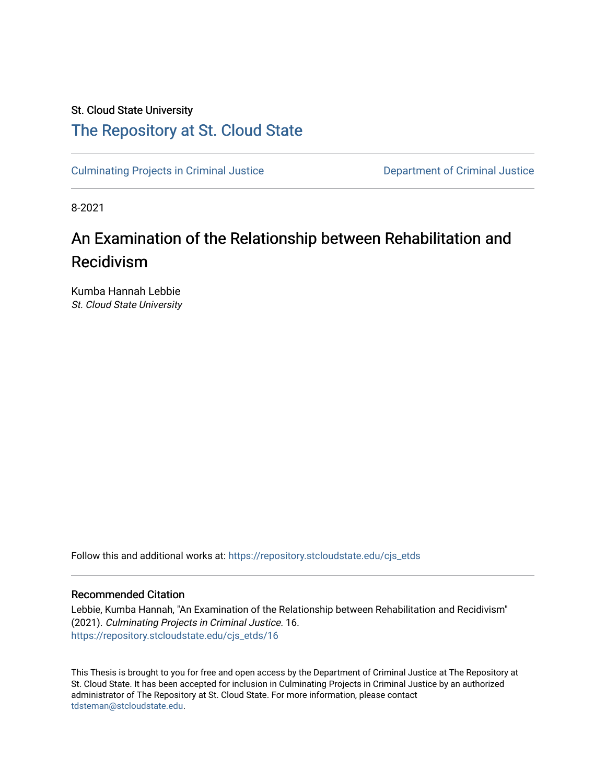# St. Cloud State University [The Repository at St. Cloud State](https://repository.stcloudstate.edu/)

[Culminating Projects in Criminal Justice](https://repository.stcloudstate.edu/cjs_etds) [Department of Criminal Justice](https://repository.stcloudstate.edu/cjs) 

8-2021

# An Examination of the Relationship between Rehabilitation and Recidivism

Kumba Hannah Lebbie St. Cloud State University

Follow this and additional works at: [https://repository.stcloudstate.edu/cjs\\_etds](https://repository.stcloudstate.edu/cjs_etds?utm_source=repository.stcloudstate.edu%2Fcjs_etds%2F16&utm_medium=PDF&utm_campaign=PDFCoverPages)

# Recommended Citation

Lebbie, Kumba Hannah, "An Examination of the Relationship between Rehabilitation and Recidivism" (2021). Culminating Projects in Criminal Justice. 16. [https://repository.stcloudstate.edu/cjs\\_etds/16](https://repository.stcloudstate.edu/cjs_etds/16?utm_source=repository.stcloudstate.edu%2Fcjs_etds%2F16&utm_medium=PDF&utm_campaign=PDFCoverPages) 

This Thesis is brought to you for free and open access by the Department of Criminal Justice at The Repository at St. Cloud State. It has been accepted for inclusion in Culminating Projects in Criminal Justice by an authorized administrator of The Repository at St. Cloud State. For more information, please contact [tdsteman@stcloudstate.edu](mailto:tdsteman@stcloudstate.edu).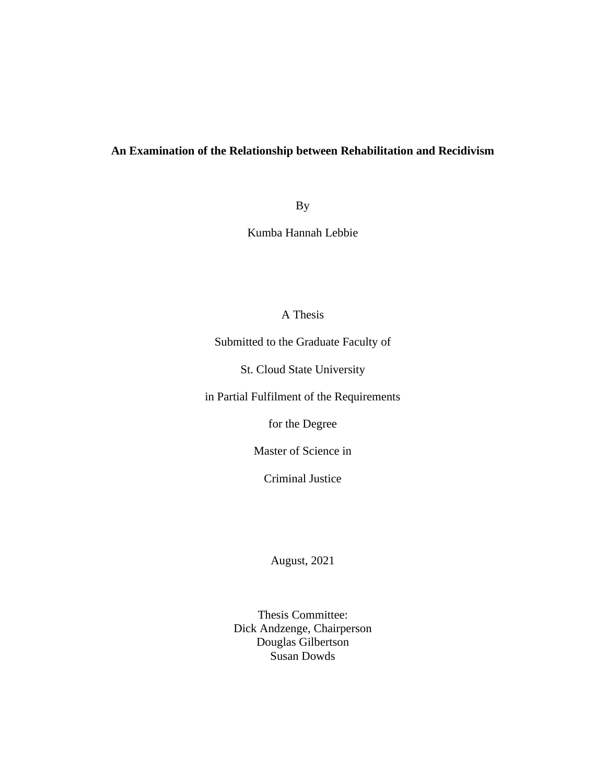# **An Examination of the Relationship between Rehabilitation and Recidivism**

By

Kumba Hannah Lebbie

# A Thesis

Submitted to the Graduate Faculty of

St. Cloud State University

in Partial Fulfilment of the Requirements

for the Degree

Master of Science in

Criminal Justice

August, 2021

Thesis Committee: Dick Andzenge, Chairperson Douglas Gilbertson Susan Dowds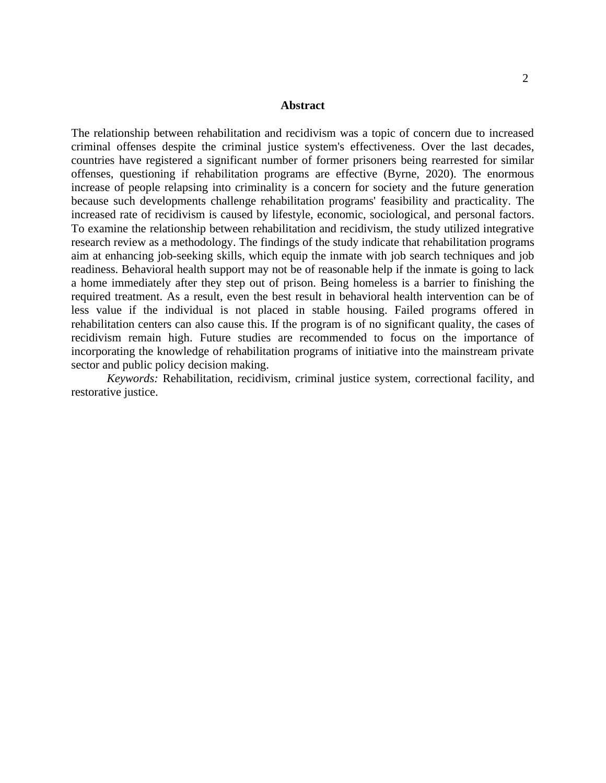## **Abstract**

The relationship between rehabilitation and recidivism was a topic of concern due to increased criminal offenses despite the criminal justice system's effectiveness. Over the last decades, countries have registered a significant number of former prisoners being rearrested for similar offenses, questioning if rehabilitation programs are effective (Byrne, 2020). The enormous increase of people relapsing into criminality is a concern for society and the future generation because such developments challenge rehabilitation programs' feasibility and practicality. The increased rate of recidivism is caused by lifestyle, economic, sociological, and personal factors. To examine the relationship between rehabilitation and recidivism, the study utilized integrative research review as a methodology. The findings of the study indicate that rehabilitation programs aim at enhancing job-seeking skills, which equip the inmate with job search techniques and job readiness. Behavioral health support may not be of reasonable help if the inmate is going to lack a home immediately after they step out of prison. Being homeless is a barrier to finishing the required treatment. As a result, even the best result in behavioral health intervention can be of less value if the individual is not placed in stable housing. Failed programs offered in rehabilitation centers can also cause this. If the program is of no significant quality, the cases of recidivism remain high. Future studies are recommended to focus on the importance of incorporating the knowledge of rehabilitation programs of initiative into the mainstream private sector and public policy decision making.

*Keywords:* Rehabilitation, recidivism, criminal justice system, correctional facility, and restorative justice.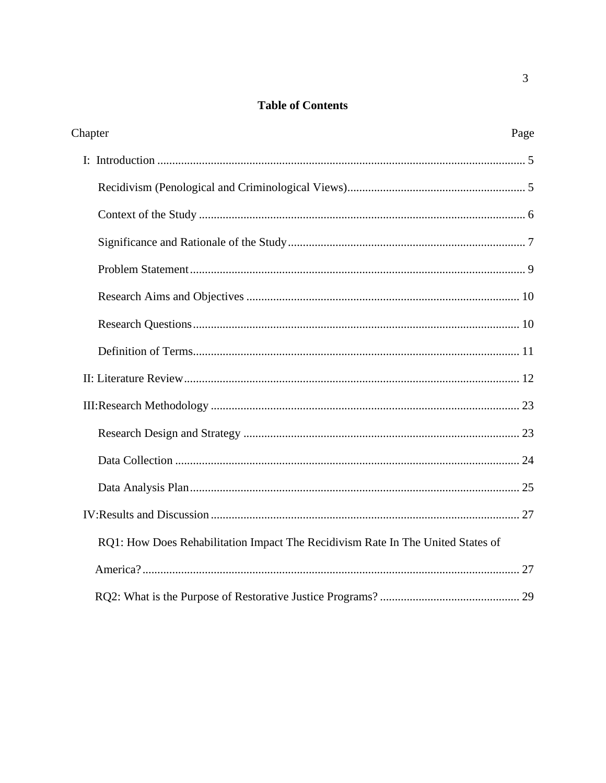# **Table of Contents**

| Chapter<br>Page                                                                 |
|---------------------------------------------------------------------------------|
|                                                                                 |
|                                                                                 |
|                                                                                 |
|                                                                                 |
|                                                                                 |
|                                                                                 |
|                                                                                 |
|                                                                                 |
|                                                                                 |
|                                                                                 |
|                                                                                 |
|                                                                                 |
|                                                                                 |
|                                                                                 |
| RQ1: How Does Rehabilitation Impact The Recidivism Rate In The United States of |
|                                                                                 |
|                                                                                 |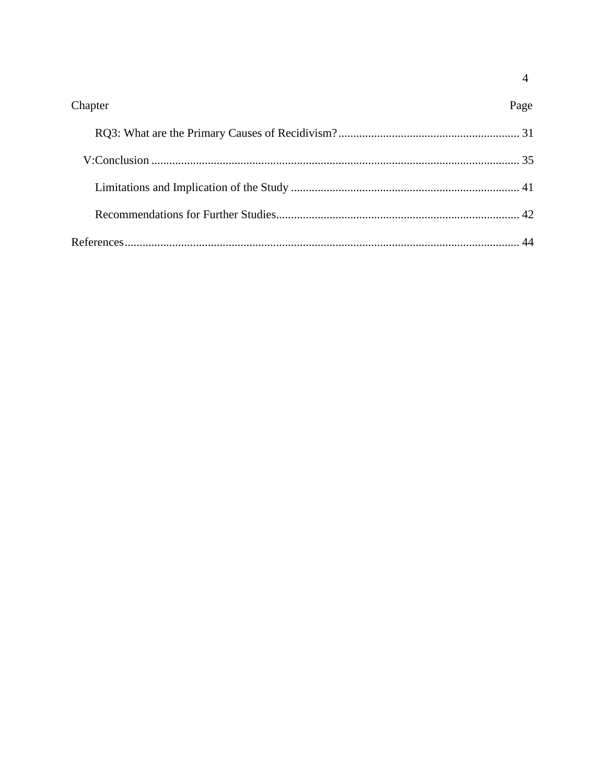| Chapter | Page |
|---------|------|
|         |      |
|         |      |
|         |      |
|         |      |
|         |      |

 $\overline{4}$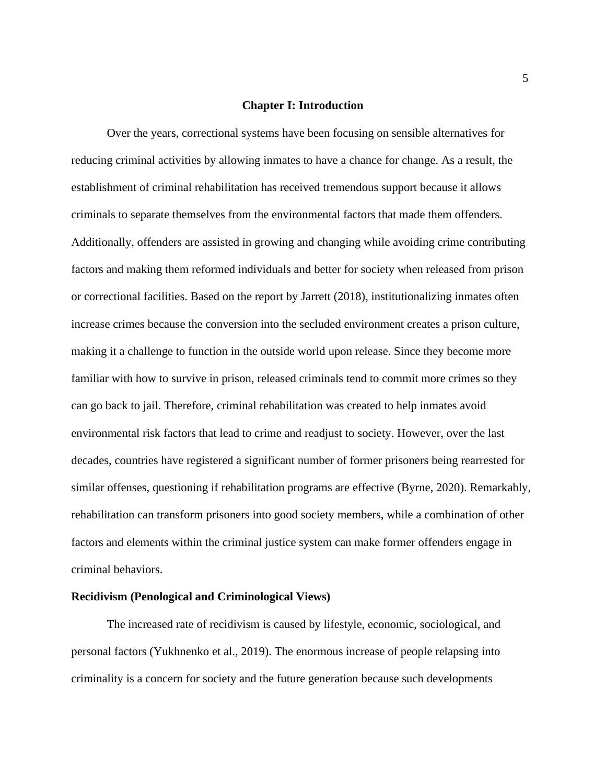# <span id="page-5-0"></span>**Chapter I: Introduction**

Over the years, correctional systems have been focusing on sensible alternatives for reducing criminal activities by allowing inmates to have a chance for change. As a result, the establishment of criminal rehabilitation has received tremendous support because it allows criminals to separate themselves from the environmental factors that made them offenders. Additionally, offenders are assisted in growing and changing while avoiding crime contributing factors and making them reformed individuals and better for society when released from prison or correctional facilities. Based on the report by Jarrett (2018), institutionalizing inmates often increase crimes because the conversion into the secluded environment creates a prison culture, making it a challenge to function in the outside world upon release. Since they become more familiar with how to survive in prison, released criminals tend to commit more crimes so they can go back to jail. Therefore, criminal rehabilitation was created to help inmates avoid environmental risk factors that lead to crime and readjust to society. However, over the last decades, countries have registered a significant number of former prisoners being rearrested for similar offenses, questioning if rehabilitation programs are effective (Byrne, 2020). Remarkably, rehabilitation can transform prisoners into good society members, while a combination of other factors and elements within the criminal justice system can make former offenders engage in criminal behaviors.

#### <span id="page-5-1"></span>**Recidivism (Penological and Criminological Views)**

The increased rate of recidivism is caused by lifestyle, economic, sociological, and personal factors (Yukhnenko et al., 2019). The enormous increase of people relapsing into criminality is a concern for society and the future generation because such developments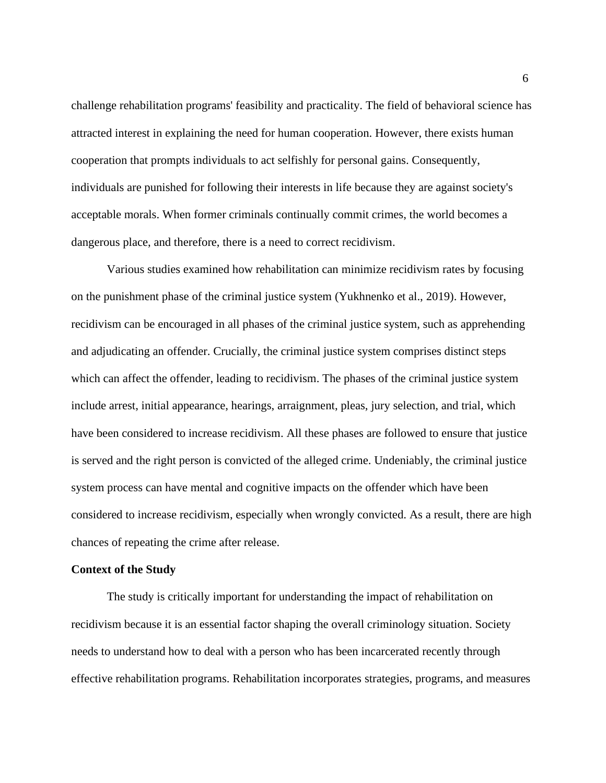challenge rehabilitation programs' feasibility and practicality. The field of behavioral science has attracted interest in explaining the need for human cooperation. However, there exists human cooperation that prompts individuals to act selfishly for personal gains. Consequently, individuals are punished for following their interests in life because they are against society's acceptable morals. When former criminals continually commit crimes, the world becomes a dangerous place, and therefore, there is a need to correct recidivism.

Various studies examined how rehabilitation can minimize recidivism rates by focusing on the punishment phase of the criminal justice system (Yukhnenko et al., 2019). However, recidivism can be encouraged in all phases of the criminal justice system, such as apprehending and adjudicating an offender. Crucially, the criminal justice system comprises distinct steps which can affect the offender, leading to recidivism. The phases of the criminal justice system include arrest, initial appearance, hearings, arraignment, pleas, jury selection, and trial, which have been considered to increase recidivism. All these phases are followed to ensure that justice is served and the right person is convicted of the alleged crime. Undeniably, the criminal justice system process can have mental and cognitive impacts on the offender which have been considered to increase recidivism, especially when wrongly convicted. As a result, there are high chances of repeating the crime after release.

#### <span id="page-6-0"></span>**Context of the Study**

The study is critically important for understanding the impact of rehabilitation on recidivism because it is an essential factor shaping the overall criminology situation. Society needs to understand how to deal with a person who has been incarcerated recently through effective rehabilitation programs. Rehabilitation incorporates strategies, programs, and measures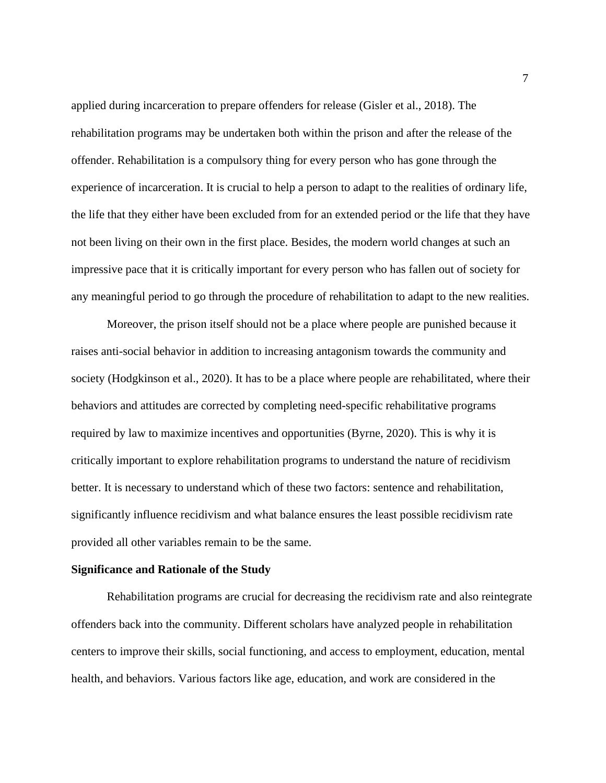applied during incarceration to prepare offenders for release (Gisler et al., 2018). The rehabilitation programs may be undertaken both within the prison and after the release of the offender. Rehabilitation is a compulsory thing for every person who has gone through the experience of incarceration. It is crucial to help a person to adapt to the realities of ordinary life, the life that they either have been excluded from for an extended period or the life that they have not been living on their own in the first place. Besides, the modern world changes at such an impressive pace that it is critically important for every person who has fallen out of society for any meaningful period to go through the procedure of rehabilitation to adapt to the new realities.

Moreover, the prison itself should not be a place where people are punished because it raises anti-social behavior in addition to increasing antagonism towards the community and society (Hodgkinson et al., 2020). It has to be a place where people are rehabilitated, where their behaviors and attitudes are corrected by completing need-specific rehabilitative programs required by law to maximize incentives and opportunities (Byrne, 2020). This is why it is critically important to explore rehabilitation programs to understand the nature of recidivism better. It is necessary to understand which of these two factors: sentence and rehabilitation, significantly influence recidivism and what balance ensures the least possible recidivism rate provided all other variables remain to be the same.

#### <span id="page-7-0"></span>**Significance and Rationale of the Study**

Rehabilitation programs are crucial for decreasing the recidivism rate and also reintegrate offenders back into the community. Different scholars have analyzed people in rehabilitation centers to improve their skills, social functioning, and access to employment, education, mental health, and behaviors. Various factors like age, education, and work are considered in the

7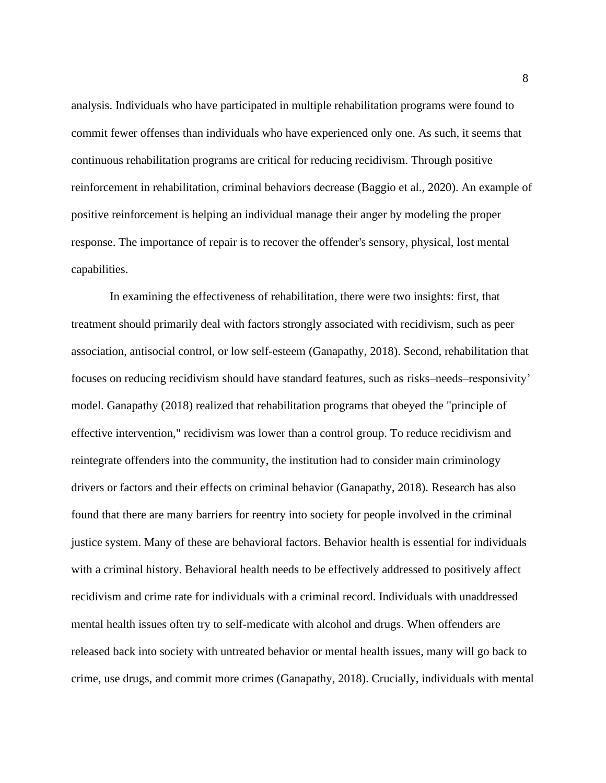analysis. Individuals who have participated in multiple rehabilitation programs were found to commit fewer offenses than individuals who have experienced only one. As such, it seems that continuous rehabilitation programs are critical for reducing recidivism. Through positive reinforcement in rehabilitation, criminal behaviors decrease (Baggio et al., 2020). An example of positive reinforcement is helping an individual manage their anger by modeling the proper response. The importance of repair is to recover the offender's sensory, physical, lost mental capabilities.

In examining the effectiveness of rehabilitation, there were two insights: first, that treatment should primarily deal with factors strongly associated with recidivism, such as peer association, antisocial control, or low self-esteem (Ganapathy, 2018). Second, rehabilitation that focuses on reducing recidivism should have standard features, such as risks–needs–responsivity' model. Ganapathy (2018) realized that rehabilitation programs that obeyed the "principle of effective intervention," recidivism was lower than a control group. To reduce recidivism and reintegrate offenders into the community, the institution had to consider main criminology drivers or factors and their effects on criminal behavior (Ganapathy, 2018). Research has also found that there are many barriers for reentry into society for people involved in the criminal justice system. Many of these are behavioral factors. Behavior health is essential for individuals with a criminal history. Behavioral health needs to be effectively addressed to positively affect recidivism and crime rate for individuals with a criminal record. Individuals with unaddressed mental health issues often try to self-medicate with alcohol and drugs. When offenders are released back into society with untreated behavior or mental health issues, many will go back to crime, use drugs, and commit more crimes (Ganapathy, 2018). Crucially, individuals with mental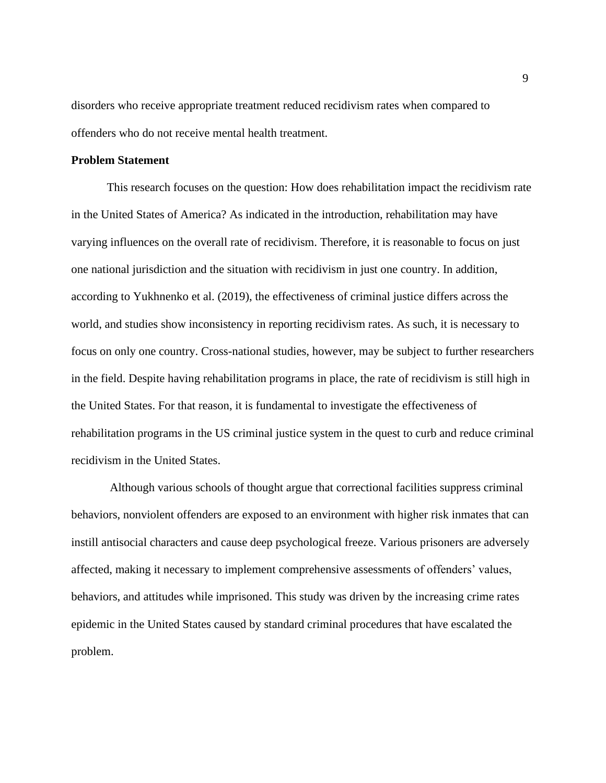disorders who receive appropriate treatment reduced recidivism rates when compared to offenders who do not receive mental health treatment.

# <span id="page-9-0"></span>**Problem Statement**

This research focuses on the question: How does rehabilitation impact the recidivism rate in the United States of America? As indicated in the introduction, rehabilitation may have varying influences on the overall rate of recidivism. Therefore, it is reasonable to focus on just one national jurisdiction and the situation with recidivism in just one country. In addition, according to Yukhnenko et al. (2019), the effectiveness of criminal justice differs across the world, and studies show inconsistency in reporting recidivism rates. As such, it is necessary to focus on only one country. Cross-national studies, however, may be subject to further researchers in the field. Despite having rehabilitation programs in place, the rate of recidivism is still high in the United States. For that reason, it is fundamental to investigate the effectiveness of rehabilitation programs in the US criminal justice system in the quest to curb and reduce criminal recidivism in the United States.

Although various schools of thought argue that correctional facilities suppress criminal behaviors, nonviolent offenders are exposed to an environment with higher risk inmates that can instill antisocial characters and cause deep psychological freeze. Various prisoners are adversely affected, making it necessary to implement comprehensive assessments of offenders' values, behaviors, and attitudes while imprisoned. This study was driven by the increasing crime rates epidemic in the United States caused by standard criminal procedures that have escalated the problem.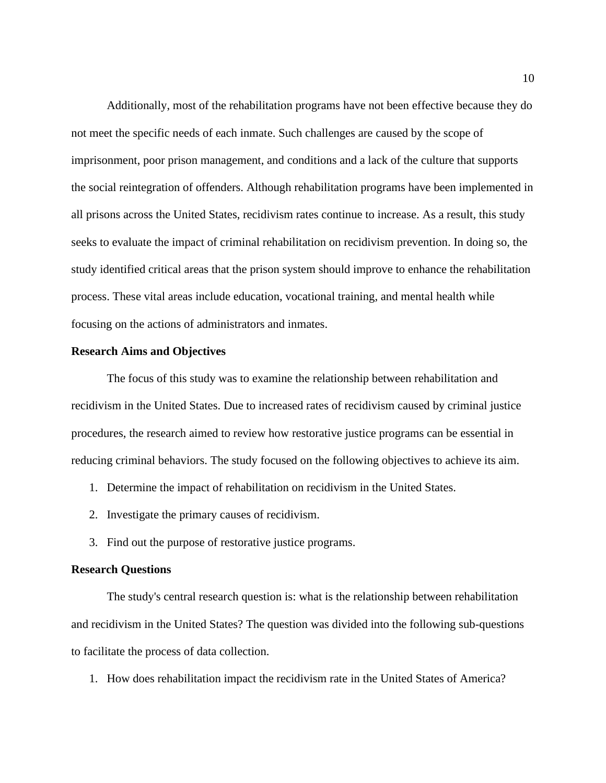Additionally, most of the rehabilitation programs have not been effective because they do not meet the specific needs of each inmate. Such challenges are caused by the scope of imprisonment, poor prison management, and conditions and a lack of the culture that supports the social reintegration of offenders. Although rehabilitation programs have been implemented in all prisons across the United States, recidivism rates continue to increase. As a result, this study seeks to evaluate the impact of criminal rehabilitation on recidivism prevention. In doing so, the study identified critical areas that the prison system should improve to enhance the rehabilitation process. These vital areas include education, vocational training, and mental health while focusing on the actions of administrators and inmates.

# <span id="page-10-0"></span>**Research Aims and Objectives**

The focus of this study was to examine the relationship between rehabilitation and recidivism in the United States. Due to increased rates of recidivism caused by criminal justice procedures, the research aimed to review how restorative justice programs can be essential in reducing criminal behaviors. The study focused on the following objectives to achieve its aim.

- 1. Determine the impact of rehabilitation on recidivism in the United States.
- 2. Investigate the primary causes of recidivism.
- 3. Find out the purpose of restorative justice programs.

#### <span id="page-10-1"></span>**Research Questions**

The study's central research question is: what is the relationship between rehabilitation and recidivism in the United States? The question was divided into the following sub-questions to facilitate the process of data collection.

1. How does rehabilitation impact the recidivism rate in the United States of America?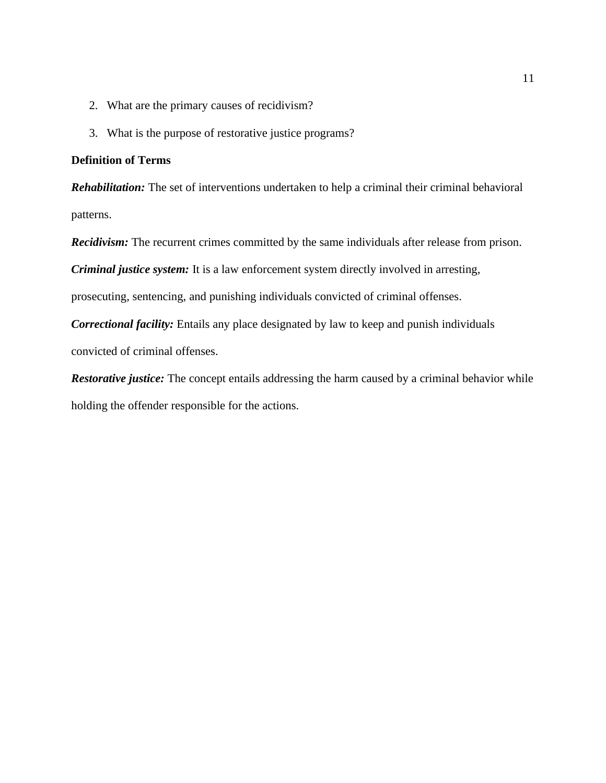- 2. What are the primary causes of recidivism?
- 3. What is the purpose of restorative justice programs?

# <span id="page-11-0"></span>**Definition of Terms**

*Rehabilitation:* The set of interventions undertaken to help a criminal their criminal behavioral patterns.

*Recidivism:* The recurrent crimes committed by the same individuals after release from prison.

*Criminal justice system:* It is a law enforcement system directly involved in arresting,

prosecuting, sentencing, and punishing individuals convicted of criminal offenses.

*Correctional facility:* Entails any place designated by law to keep and punish individuals convicted of criminal offenses.

*Restorative justice:* The concept entails addressing the harm caused by a criminal behavior while holding the offender responsible for the actions.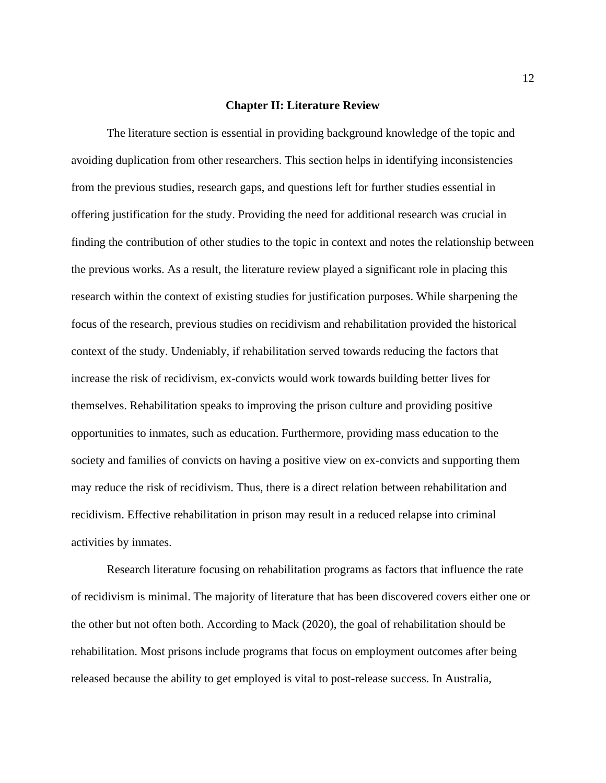#### **Chapter II: Literature Review**

<span id="page-12-0"></span>The literature section is essential in providing background knowledge of the topic and avoiding duplication from other researchers. This section helps in identifying inconsistencies from the previous studies, research gaps, and questions left for further studies essential in offering justification for the study. Providing the need for additional research was crucial in finding the contribution of other studies to the topic in context and notes the relationship between the previous works. As a result, the literature review played a significant role in placing this research within the context of existing studies for justification purposes. While sharpening the focus of the research, previous studies on recidivism and rehabilitation provided the historical context of the study. Undeniably, if rehabilitation served towards reducing the factors that increase the risk of recidivism, ex-convicts would work towards building better lives for themselves. Rehabilitation speaks to improving the prison culture and providing positive opportunities to inmates, such as education. Furthermore, providing mass education to the society and families of convicts on having a positive view on ex-convicts and supporting them may reduce the risk of recidivism. Thus, there is a direct relation between rehabilitation and recidivism. Effective rehabilitation in prison may result in a reduced relapse into criminal activities by inmates.

Research literature focusing on rehabilitation programs as factors that influence the rate of recidivism is minimal. The majority of literature that has been discovered covers either one or the other but not often both. According to Mack (2020), the goal of rehabilitation should be rehabilitation. Most prisons include programs that focus on employment outcomes after being released because the ability to get employed is vital to post-release success. In Australia,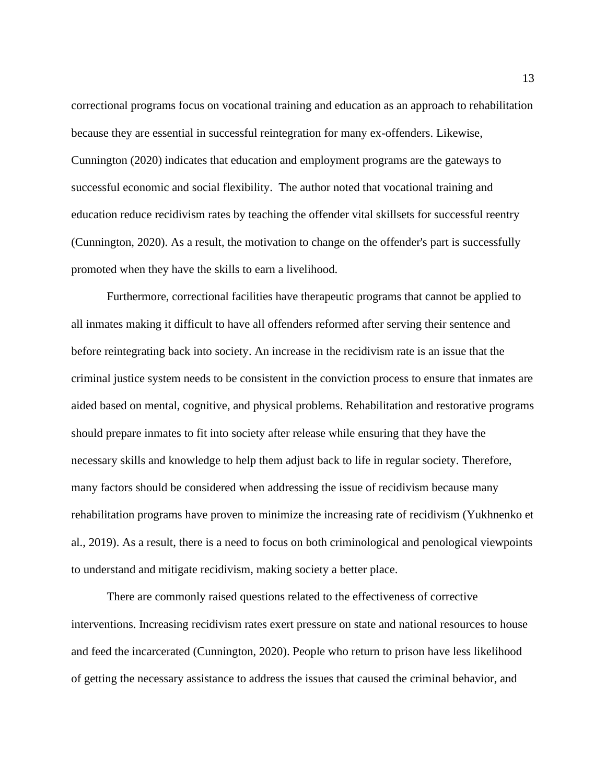correctional programs focus on vocational training and education as an approach to rehabilitation because they are essential in successful reintegration for many ex-offenders. Likewise, Cunnington (2020) indicates that education and employment programs are the gateways to successful economic and social flexibility. The author noted that vocational training and education reduce recidivism rates by teaching the offender vital skillsets for successful reentry (Cunnington, 2020). As a result, the motivation to change on the offender's part is successfully promoted when they have the skills to earn a livelihood.

Furthermore, correctional facilities have therapeutic programs that cannot be applied to all inmates making it difficult to have all offenders reformed after serving their sentence and before reintegrating back into society. An increase in the recidivism rate is an issue that the criminal justice system needs to be consistent in the conviction process to ensure that inmates are aided based on mental, cognitive, and physical problems. Rehabilitation and restorative programs should prepare inmates to fit into society after release while ensuring that they have the necessary skills and knowledge to help them adjust back to life in regular society. Therefore, many factors should be considered when addressing the issue of recidivism because many rehabilitation programs have proven to minimize the increasing rate of recidivism (Yukhnenko et al., 2019). As a result, there is a need to focus on both criminological and penological viewpoints to understand and mitigate recidivism, making society a better place.

There are commonly raised questions related to the effectiveness of corrective interventions. Increasing recidivism rates exert pressure on state and national resources to house and feed the incarcerated (Cunnington, 2020). People who return to prison have less likelihood of getting the necessary assistance to address the issues that caused the criminal behavior, and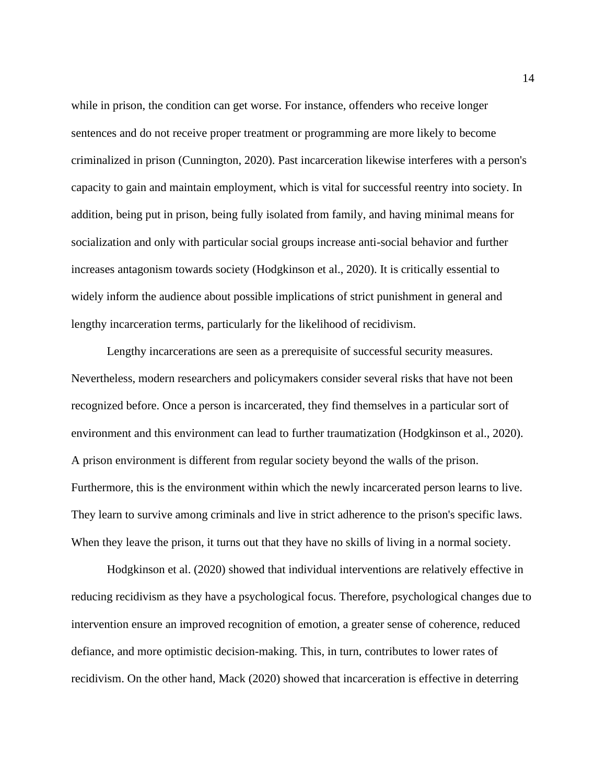while in prison, the condition can get worse. For instance, offenders who receive longer sentences and do not receive proper treatment or programming are more likely to become criminalized in prison (Cunnington, 2020). Past incarceration likewise interferes with a person's capacity to gain and maintain employment, which is vital for successful reentry into society. In addition, being put in prison, being fully isolated from family, and having minimal means for socialization and only with particular social groups increase anti-social behavior and further increases antagonism towards society (Hodgkinson et al., 2020). It is critically essential to widely inform the audience about possible implications of strict punishment in general and lengthy incarceration terms, particularly for the likelihood of recidivism.

Lengthy incarcerations are seen as a prerequisite of successful security measures. Nevertheless, modern researchers and policymakers consider several risks that have not been recognized before. Once a person is incarcerated, they find themselves in a particular sort of environment and this environment can lead to further traumatization (Hodgkinson et al., 2020). A prison environment is different from regular society beyond the walls of the prison. Furthermore, this is the environment within which the newly incarcerated person learns to live. They learn to survive among criminals and live in strict adherence to the prison's specific laws. When they leave the prison, it turns out that they have no skills of living in a normal society.

Hodgkinson et al. (2020) showed that individual interventions are relatively effective in reducing recidivism as they have a psychological focus. Therefore, psychological changes due to intervention ensure an improved recognition of emotion, a greater sense of coherence, reduced defiance, and more optimistic decision-making. This, in turn, contributes to lower rates of recidivism. On the other hand, Mack (2020) showed that incarceration is effective in deterring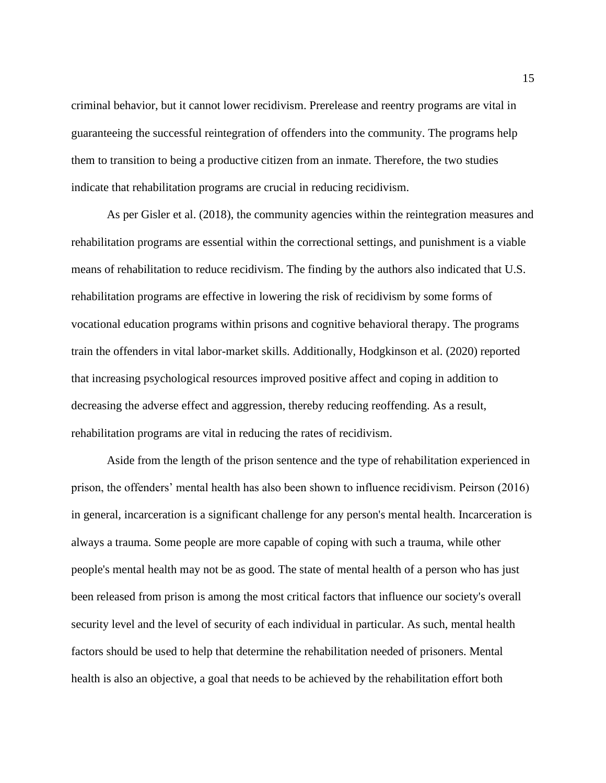criminal behavior, but it cannot lower recidivism. Prerelease and reentry programs are vital in guaranteeing the successful reintegration of offenders into the community. The programs help them to transition to being a productive citizen from an inmate. Therefore, the two studies indicate that rehabilitation programs are crucial in reducing recidivism.

As per Gisler et al. (2018), the community agencies within the reintegration measures and rehabilitation programs are essential within the correctional settings, and punishment is a viable means of rehabilitation to reduce recidivism. The finding by the authors also indicated that U.S. rehabilitation programs are effective in lowering the risk of recidivism by some forms of vocational education programs within prisons and cognitive behavioral therapy. The programs train the offenders in vital labor-market skills. Additionally, Hodgkinson et al. (2020) reported that increasing psychological resources improved positive affect and coping in addition to decreasing the adverse effect and aggression, thereby reducing reoffending. As a result, rehabilitation programs are vital in reducing the rates of recidivism.

Aside from the length of the prison sentence and the type of rehabilitation experienced in prison, the offenders' mental health has also been shown to influence recidivism. Peirson (2016) in general, incarceration is a significant challenge for any person's mental health. Incarceration is always a trauma. Some people are more capable of coping with such a trauma, while other people's mental health may not be as good. The state of mental health of a person who has just been released from prison is among the most critical factors that influence our society's overall security level and the level of security of each individual in particular. As such, mental health factors should be used to help that determine the rehabilitation needed of prisoners. Mental health is also an objective, a goal that needs to be achieved by the rehabilitation effort both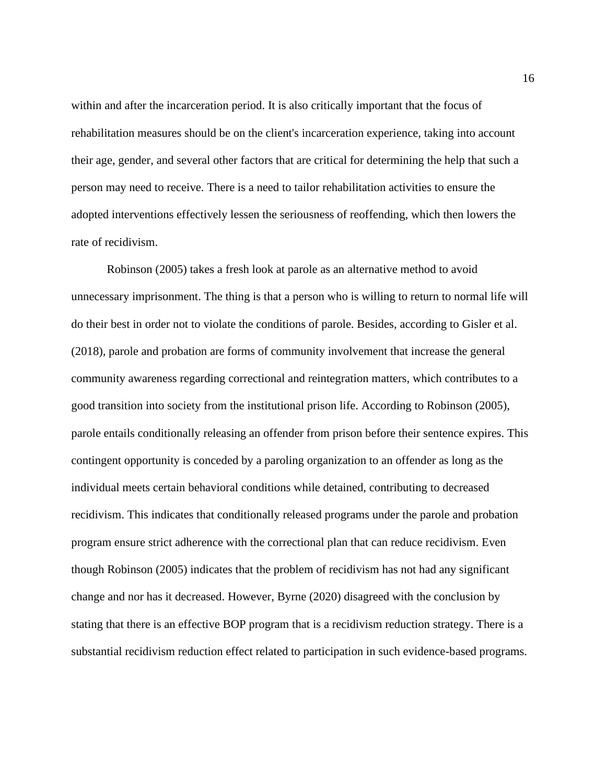within and after the incarceration period. It is also critically important that the focus of rehabilitation measures should be on the client's incarceration experience, taking into account their age, gender, and several other factors that are critical for determining the help that such a person may need to receive. There is a need to tailor rehabilitation activities to ensure the adopted interventions effectively lessen the seriousness of reoffending, which then lowers the rate of recidivism.

Robinson (2005) takes a fresh look at parole as an alternative method to avoid unnecessary imprisonment. The thing is that a person who is willing to return to normal life will do their best in order not to violate the conditions of parole. Besides, according to Gisler et al. (2018), parole and probation are forms of community involvement that increase the general community awareness regarding correctional and reintegration matters, which contributes to a good transition into society from the institutional prison life. According to Robinson (2005), parole entails conditionally releasing an offender from prison before their sentence expires. This contingent opportunity is conceded by a paroling organization to an offender as long as the individual meets certain behavioral conditions while detained, contributing to decreased recidivism. This indicates that conditionally released programs under the parole and probation program ensure strict adherence with the correctional plan that can reduce recidivism. Even though Robinson (2005) indicates that the problem of recidivism has not had any significant change and nor has it decreased. However, Byrne (2020) disagreed with the conclusion by stating that there is an effective BOP program that is a recidivism reduction strategy. There is a substantial recidivism reduction effect related to participation in such evidence-based programs.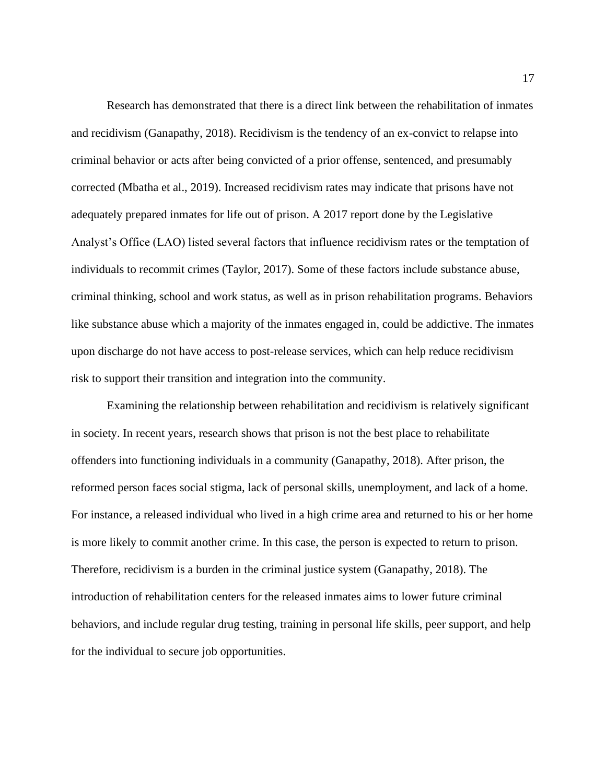Research has demonstrated that there is a direct link between the rehabilitation of inmates and recidivism (Ganapathy, 2018). Recidivism is the tendency of an ex-convict to relapse into criminal behavior or acts after being convicted of a prior offense, sentenced, and presumably corrected (Mbatha et al., 2019). Increased recidivism rates may indicate that prisons have not adequately prepared inmates for life out of prison. A 2017 report done by the Legislative Analyst's Office (LAO) listed several factors that influence recidivism rates or the temptation of individuals to recommit crimes (Taylor, 2017). Some of these factors include substance abuse, criminal thinking, school and work status, as well as in prison rehabilitation programs. Behaviors like substance abuse which a majority of the inmates engaged in, could be addictive. The inmates upon discharge do not have access to post-release services, which can help reduce recidivism risk to support their transition and integration into the community.

Examining the relationship between rehabilitation and recidivism is relatively significant in society. In recent years, research shows that prison is not the best place to rehabilitate offenders into functioning individuals in a community (Ganapathy, 2018). After prison, the reformed person faces social stigma, lack of personal skills, unemployment, and lack of a home. For instance, a released individual who lived in a high crime area and returned to his or her home is more likely to commit another crime. In this case, the person is expected to return to prison. Therefore, recidivism is a burden in the criminal justice system (Ganapathy, 2018). The introduction of rehabilitation centers for the released inmates aims to lower future criminal behaviors, and include regular drug testing, training in personal life skills, peer support, and help for the individual to secure job opportunities.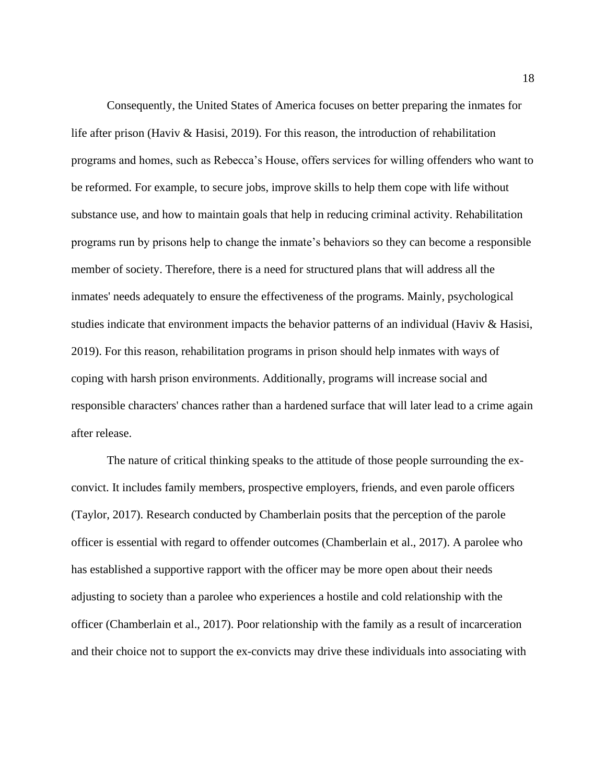Consequently, the United States of America focuses on better preparing the inmates for life after prison (Haviv & Hasisi, 2019). For this reason, the introduction of rehabilitation programs and homes, such as Rebecca's House, offers services for willing offenders who want to be reformed. For example, to secure jobs, improve skills to help them cope with life without substance use, and how to maintain goals that help in reducing criminal activity. Rehabilitation programs run by prisons help to change the inmate's behaviors so they can become a responsible member of society. Therefore, there is a need for structured plans that will address all the inmates' needs adequately to ensure the effectiveness of the programs. Mainly, psychological studies indicate that environment impacts the behavior patterns of an individual (Haviv & Hasisi, 2019). For this reason, rehabilitation programs in prison should help inmates with ways of coping with harsh prison environments. Additionally, programs will increase social and responsible characters' chances rather than a hardened surface that will later lead to a crime again after release.

The nature of critical thinking speaks to the attitude of those people surrounding the exconvict. It includes family members, prospective employers, friends, and even parole officers (Taylor, 2017). Research conducted by Chamberlain posits that the perception of the parole officer is essential with regard to offender outcomes (Chamberlain et al., 2017). A parolee who has established a supportive rapport with the officer may be more open about their needs adjusting to society than a parolee who experiences a hostile and cold relationship with the officer (Chamberlain et al., 2017). Poor relationship with the family as a result of incarceration and their choice not to support the ex-convicts may drive these individuals into associating with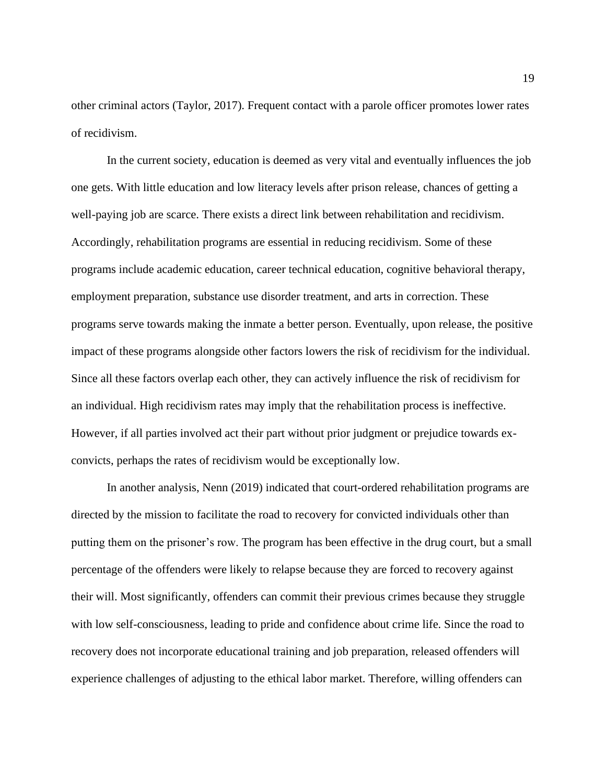other criminal actors (Taylor, 2017). Frequent contact with a parole officer promotes lower rates of recidivism.

In the current society, education is deemed as very vital and eventually influences the job one gets. With little education and low literacy levels after prison release, chances of getting a well-paying job are scarce. There exists a direct link between rehabilitation and recidivism. Accordingly, rehabilitation programs are essential in reducing recidivism. Some of these programs include academic education, career technical education, cognitive behavioral therapy, employment preparation, substance use disorder treatment, and arts in correction. These programs serve towards making the inmate a better person. Eventually, upon release, the positive impact of these programs alongside other factors lowers the risk of recidivism for the individual. Since all these factors overlap each other, they can actively influence the risk of recidivism for an individual. High recidivism rates may imply that the rehabilitation process is ineffective. However, if all parties involved act their part without prior judgment or prejudice towards exconvicts, perhaps the rates of recidivism would be exceptionally low.

In another analysis, Nenn (2019) indicated that court-ordered rehabilitation programs are directed by the mission to facilitate the road to recovery for convicted individuals other than putting them on the prisoner's row. The program has been effective in the drug court, but a small percentage of the offenders were likely to relapse because they are forced to recovery against their will. Most significantly, offenders can commit their previous crimes because they struggle with low self-consciousness, leading to pride and confidence about crime life. Since the road to recovery does not incorporate educational training and job preparation, released offenders will experience challenges of adjusting to the ethical labor market. Therefore, willing offenders can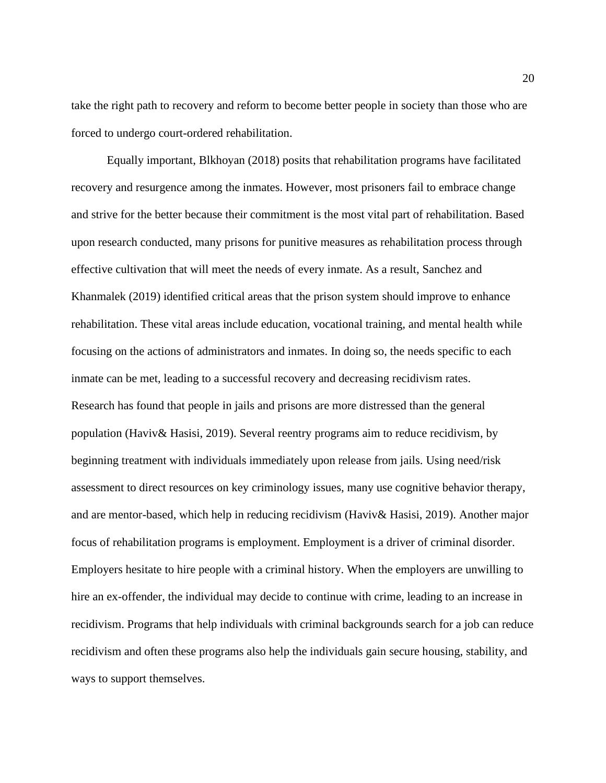take the right path to recovery and reform to become better people in society than those who are forced to undergo court-ordered rehabilitation.

Equally important, Blkhoyan (2018) posits that rehabilitation programs have facilitated recovery and resurgence among the inmates. However, most prisoners fail to embrace change and strive for the better because their commitment is the most vital part of rehabilitation. Based upon research conducted, many prisons for punitive measures as rehabilitation process through effective cultivation that will meet the needs of every inmate. As a result, Sanchez and Khanmalek (2019) identified critical areas that the prison system should improve to enhance rehabilitation. These vital areas include education, vocational training, and mental health while focusing on the actions of administrators and inmates. In doing so, the needs specific to each inmate can be met, leading to a successful recovery and decreasing recidivism rates. Research has found that people in jails and prisons are more distressed than the general population (Haviv& Hasisi, 2019). Several reentry programs aim to reduce recidivism, by beginning treatment with individuals immediately upon release from jails. Using need/risk assessment to direct resources on key criminology issues, many use cognitive behavior therapy, and are mentor-based, which help in reducing recidivism (Haviv& Hasisi, 2019). Another major focus of rehabilitation programs is employment. Employment is a driver of criminal disorder. Employers hesitate to hire people with a criminal history. When the employers are unwilling to hire an ex-offender, the individual may decide to continue with crime, leading to an increase in recidivism. Programs that help individuals with criminal backgrounds search for a job can reduce recidivism and often these programs also help the individuals gain secure housing, stability, and ways to support themselves.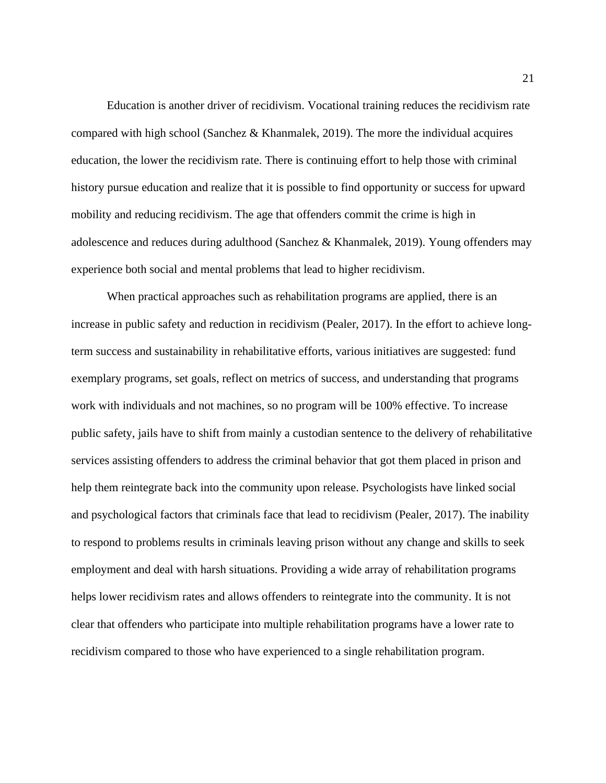Education is another driver of recidivism. Vocational training reduces the recidivism rate compared with high school (Sanchez & Khanmalek, 2019). The more the individual acquires education, the lower the recidivism rate. There is continuing effort to help those with criminal history pursue education and realize that it is possible to find opportunity or success for upward mobility and reducing recidivism. The age that offenders commit the crime is high in adolescence and reduces during adulthood (Sanchez & Khanmalek, 2019). Young offenders may experience both social and mental problems that lead to higher recidivism.

When practical approaches such as rehabilitation programs are applied, there is an increase in public safety and reduction in recidivism (Pealer, 2017). In the effort to achieve longterm success and sustainability in rehabilitative efforts, various initiatives are suggested: fund exemplary programs, set goals, reflect on metrics of success, and understanding that programs work with individuals and not machines, so no program will be 100% effective. To increase public safety, jails have to shift from mainly a custodian sentence to the delivery of rehabilitative services assisting offenders to address the criminal behavior that got them placed in prison and help them reintegrate back into the community upon release. Psychologists have linked social and psychological factors that criminals face that lead to recidivism (Pealer, 2017). The inability to respond to problems results in criminals leaving prison without any change and skills to seek employment and deal with harsh situations. Providing a wide array of rehabilitation programs helps lower recidivism rates and allows offenders to reintegrate into the community. It is not clear that offenders who participate into multiple rehabilitation programs have a lower rate to recidivism compared to those who have experienced to a single rehabilitation program.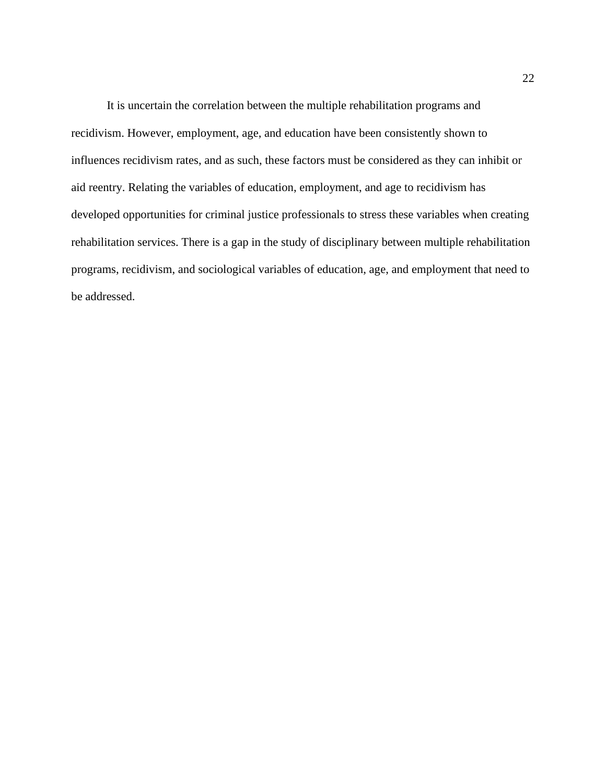It is uncertain the correlation between the multiple rehabilitation programs and recidivism. However, employment, age, and education have been consistently shown to influences recidivism rates, and as such, these factors must be considered as they can inhibit or aid reentry. Relating the variables of education, employment, and age to recidivism has developed opportunities for criminal justice professionals to stress these variables when creating rehabilitation services. There is a gap in the study of disciplinary between multiple rehabilitation programs, recidivism, and sociological variables of education, age, and employment that need to be addressed.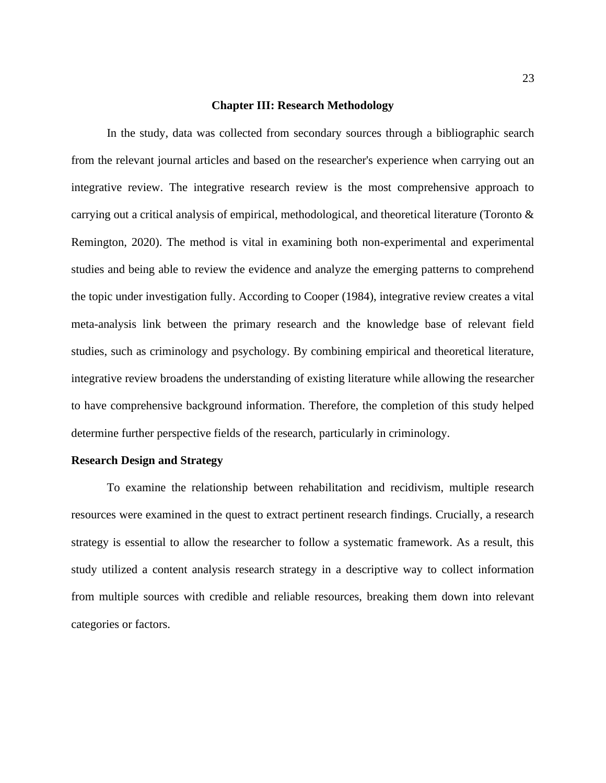# **Chapter III: Research Methodology**

<span id="page-23-0"></span>In the study, data was collected from secondary sources through a bibliographic search from the relevant journal articles and based on the researcher's experience when carrying out an integrative review. The integrative research review is the most comprehensive approach to carrying out a critical analysis of empirical, methodological, and theoretical literature (Toronto & Remington, 2020). The method is vital in examining both non-experimental and experimental studies and being able to review the evidence and analyze the emerging patterns to comprehend the topic under investigation fully. According to Cooper (1984), integrative review creates a vital meta-analysis link between the primary research and the knowledge base of relevant field studies, such as criminology and psychology. By combining empirical and theoretical literature, integrative review broadens the understanding of existing literature while allowing the researcher to have comprehensive background information. Therefore, the completion of this study helped determine further perspective fields of the research, particularly in criminology.

# <span id="page-23-1"></span>**Research Design and Strategy**

To examine the relationship between rehabilitation and recidivism, multiple research resources were examined in the quest to extract pertinent research findings. Crucially, a research strategy is essential to allow the researcher to follow a systematic framework. As a result, this study utilized a content analysis research strategy in a descriptive way to collect information from multiple sources with credible and reliable resources, breaking them down into relevant categories or factors.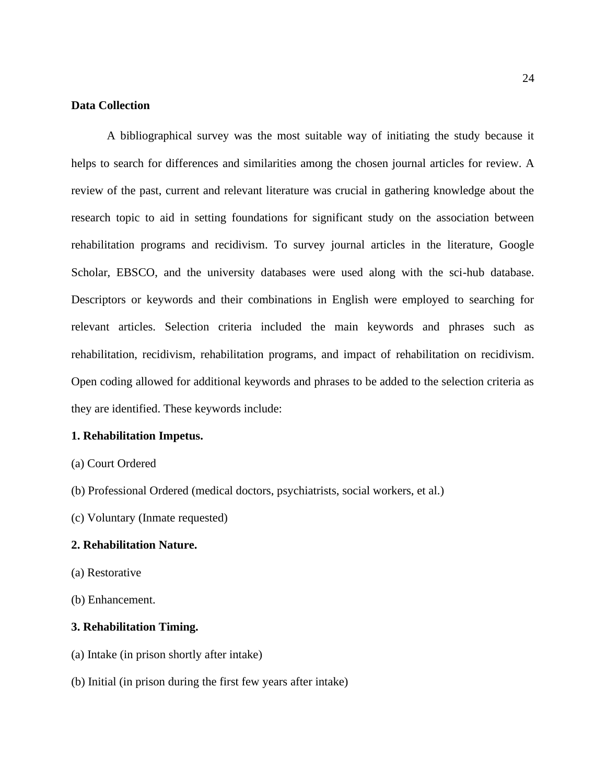# <span id="page-24-0"></span>**Data Collection**

A bibliographical survey was the most suitable way of initiating the study because it helps to search for differences and similarities among the chosen journal articles for review. A review of the past, current and relevant literature was crucial in gathering knowledge about the research topic to aid in setting foundations for significant study on the association between rehabilitation programs and recidivism. To survey journal articles in the literature, Google Scholar, EBSCO, and the university databases were used along with the sci-hub database. Descriptors or keywords and their combinations in English were employed to searching for relevant articles. Selection criteria included the main keywords and phrases such as rehabilitation, recidivism, rehabilitation programs, and impact of rehabilitation on recidivism. Open coding allowed for additional keywords and phrases to be added to the selection criteria as they are identified. These keywords include:

# **1. Rehabilitation Impetus.**

- (a) Court Ordered
- (b) Professional Ordered (medical doctors, psychiatrists, social workers, et al.)
- (c) Voluntary (Inmate requested)

# **2. Rehabilitation Nature.**

- (a) Restorative
- (b) Enhancement.

# **3. Rehabilitation Timing.**

- (a) Intake (in prison shortly after intake)
- (b) Initial (in prison during the first few years after intake)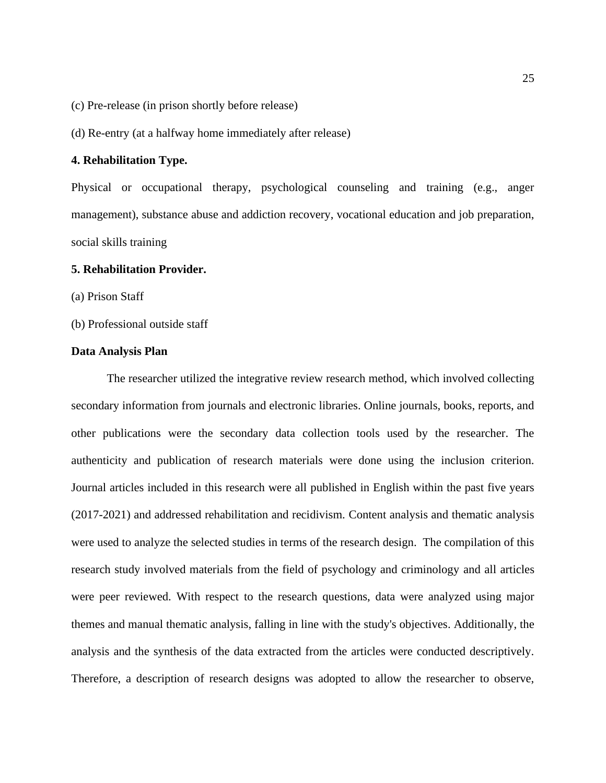(c) Pre-release (in prison shortly before release)

(d) Re-entry (at a halfway home immediately after release)

# **4. Rehabilitation Type.**

Physical or occupational therapy, psychological counseling and training (e.g., anger management), substance abuse and addiction recovery, vocational education and job preparation, social skills training

# **5. Rehabilitation Provider.**

(a) Prison Staff

(b) Professional outside staff

# <span id="page-25-0"></span>**Data Analysis Plan**

The researcher utilized the integrative review research method, which involved collecting secondary information from journals and electronic libraries. Online journals, books, reports, and other publications were the secondary data collection tools used by the researcher. The authenticity and publication of research materials were done using the inclusion criterion. Journal articles included in this research were all published in English within the past five years (2017-2021) and addressed rehabilitation and recidivism. Content analysis and thematic analysis were used to analyze the selected studies in terms of the research design. The compilation of this research study involved materials from the field of psychology and criminology and all articles were peer reviewed. With respect to the research questions, data were analyzed using major themes and manual thematic analysis, falling in line with the study's objectives. Additionally, the analysis and the synthesis of the data extracted from the articles were conducted descriptively. Therefore, a description of research designs was adopted to allow the researcher to observe,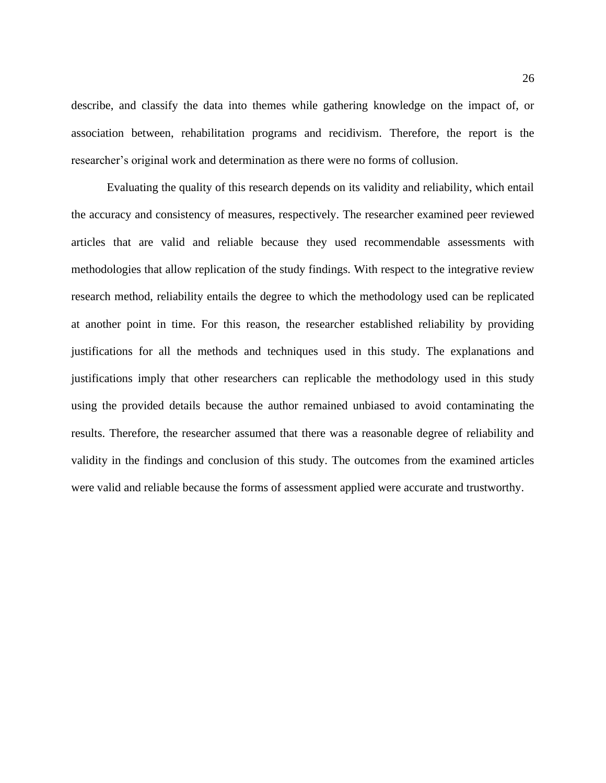describe, and classify the data into themes while gathering knowledge on the impact of, or association between, rehabilitation programs and recidivism. Therefore, the report is the researcher's original work and determination as there were no forms of collusion.

Evaluating the quality of this research depends on its validity and reliability, which entail the accuracy and consistency of measures, respectively. The researcher examined peer reviewed articles that are valid and reliable because they used recommendable assessments with methodologies that allow replication of the study findings. With respect to the integrative review research method, reliability entails the degree to which the methodology used can be replicated at another point in time. For this reason, the researcher established reliability by providing justifications for all the methods and techniques used in this study. The explanations and justifications imply that other researchers can replicable the methodology used in this study using the provided details because the author remained unbiased to avoid contaminating the results. Therefore, the researcher assumed that there was a reasonable degree of reliability and validity in the findings and conclusion of this study. The outcomes from the examined articles were valid and reliable because the forms of assessment applied were accurate and trustworthy.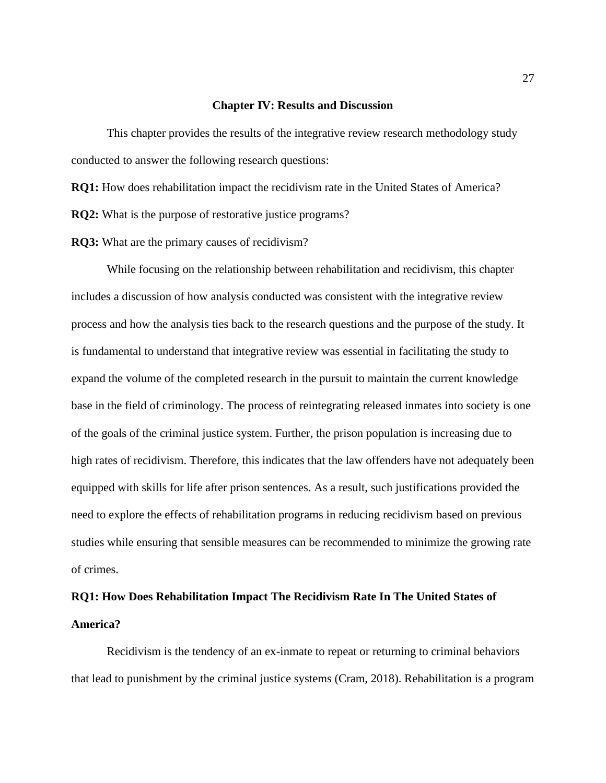# **Chapter IV: Results and Discussion**

This chapter provides the results of the integrative review research methodology study conducted to answer the following research questions:

**RQ1:** How does rehabilitation impact the recidivism rate in the United States of America? **RQ2:** What is the purpose of restorative justice programs?

**RQ3:** What are the primary causes of recidivism?

While focusing on the relationship between rehabilitation and recidivism, this chapter includes a discussion of how analysis conducted was consistent with the integrative review process and how the analysis ties back to the research questions and the purpose of the study. It is fundamental to understand that integrative review was essential in facilitating the study to expand the volume of the completed research in the pursuit to maintain the current knowledge base in the field of criminology. The process of reintegrating released inmates into society is one of the goals of the criminal justice system. Further, the prison population is increasing due to high rates of recidivism. Therefore, this indicates that the law offenders have not adequately been equipped with skills for life after prison sentences. As a result, such justifications provided the need to explore the effects of rehabilitation programs in reducing recidivism based on previous studies while ensuring that sensible measures can be recommended to minimize the growing rate of crimes.

# **RQ1: How Does Rehabilitation Impact The Recidivism Rate In The United States of America?**

Recidivism is the tendency of an ex-inmate to repeat or returning to criminal behaviors that lead to punishment by the criminal justice systems (Cram, 2018). Rehabilitation is a program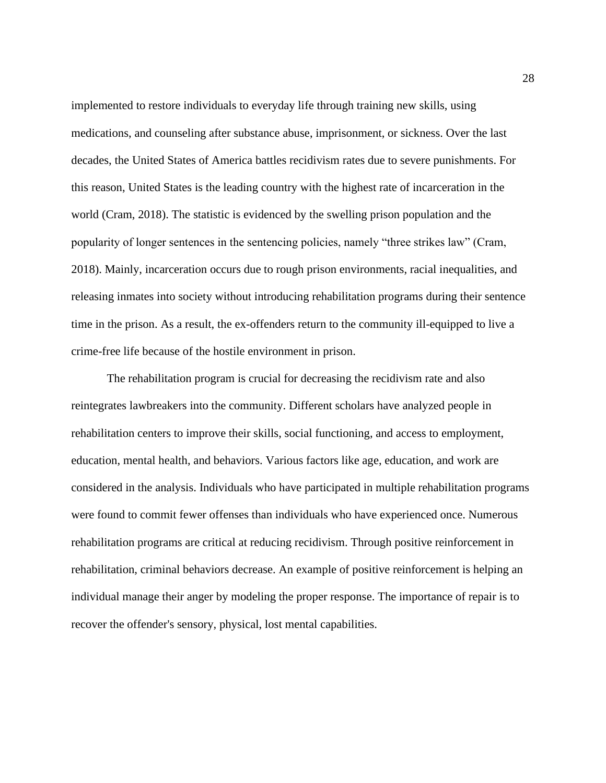implemented to restore individuals to everyday life through training new skills, using medications, and counseling after substance abuse, imprisonment, or sickness. Over the last decades, the United States of America battles recidivism rates due to severe punishments. For this reason, United States is the leading country with the highest rate of incarceration in the world (Cram, 2018). The statistic is evidenced by the swelling prison population and the popularity of longer sentences in the sentencing policies, namely "three strikes law" (Cram, 2018). Mainly, incarceration occurs due to rough prison environments, racial inequalities, and releasing inmates into society without introducing rehabilitation programs during their sentence time in the prison. As a result, the ex-offenders return to the community ill-equipped to live a crime-free life because of the hostile environment in prison.

The rehabilitation program is crucial for decreasing the recidivism rate and also reintegrates lawbreakers into the community. Different scholars have analyzed people in rehabilitation centers to improve their skills, social functioning, and access to employment, education, mental health, and behaviors. Various factors like age, education, and work are considered in the analysis. Individuals who have participated in multiple rehabilitation programs were found to commit fewer offenses than individuals who have experienced once. Numerous rehabilitation programs are critical at reducing recidivism. Through positive reinforcement in rehabilitation, criminal behaviors decrease. An example of positive reinforcement is helping an individual manage their anger by modeling the proper response. The importance of repair is to recover the offender's sensory, physical, lost mental capabilities.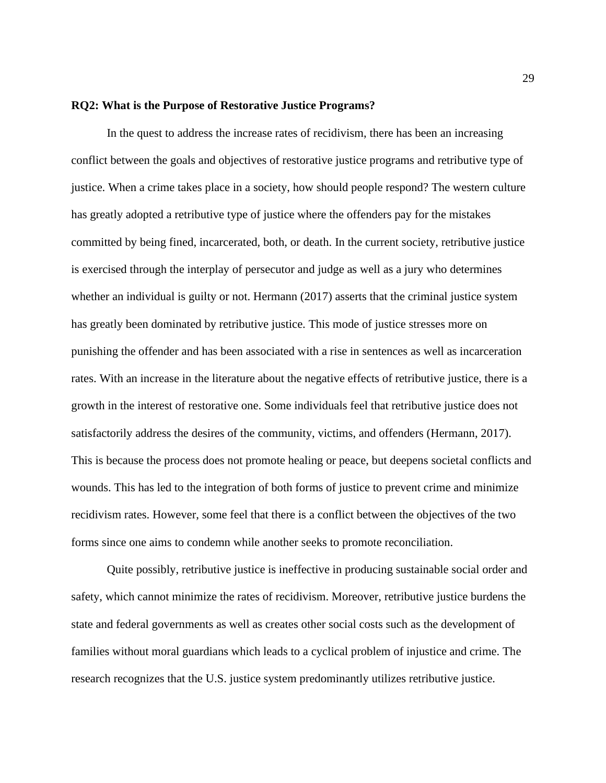# **RQ2: What is the Purpose of Restorative Justice Programs?**

In the quest to address the increase rates of recidivism, there has been an increasing conflict between the goals and objectives of restorative justice programs and retributive type of justice. When a crime takes place in a society, how should people respond? The western culture has greatly adopted a retributive type of justice where the offenders pay for the mistakes committed by being fined, incarcerated, both, or death. In the current society, retributive justice is exercised through the interplay of persecutor and judge as well as a jury who determines whether an individual is guilty or not. Hermann (2017) asserts that the criminal justice system has greatly been dominated by retributive justice. This mode of justice stresses more on punishing the offender and has been associated with a rise in sentences as well as incarceration rates. With an increase in the literature about the negative effects of retributive justice, there is a growth in the interest of restorative one. Some individuals feel that retributive justice does not satisfactorily address the desires of the community, victims, and offenders (Hermann, 2017). This is because the process does not promote healing or peace, but deepens societal conflicts and wounds. This has led to the integration of both forms of justice to prevent crime and minimize recidivism rates. However, some feel that there is a conflict between the objectives of the two forms since one aims to condemn while another seeks to promote reconciliation.

Quite possibly, retributive justice is ineffective in producing sustainable social order and safety, which cannot minimize the rates of recidivism. Moreover, retributive justice burdens the state and federal governments as well as creates other social costs such as the development of families without moral guardians which leads to a cyclical problem of injustice and crime. The research recognizes that the U.S. justice system predominantly utilizes retributive justice.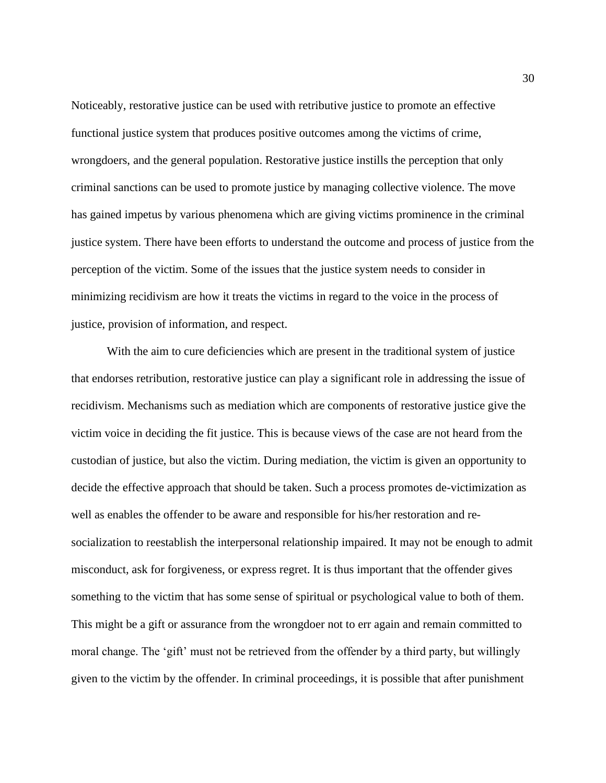Noticeably, restorative justice can be used with retributive justice to promote an effective functional justice system that produces positive outcomes among the victims of crime, wrongdoers, and the general population. Restorative justice instills the perception that only criminal sanctions can be used to promote justice by managing collective violence. The move has gained impetus by various phenomena which are giving victims prominence in the criminal justice system. There have been efforts to understand the outcome and process of justice from the perception of the victim. Some of the issues that the justice system needs to consider in minimizing recidivism are how it treats the victims in regard to the voice in the process of justice, provision of information, and respect.

With the aim to cure deficiencies which are present in the traditional system of justice that endorses retribution, restorative justice can play a significant role in addressing the issue of recidivism. Mechanisms such as mediation which are components of restorative justice give the victim voice in deciding the fit justice. This is because views of the case are not heard from the custodian of justice, but also the victim. During mediation, the victim is given an opportunity to decide the effective approach that should be taken. Such a process promotes de-victimization as well as enables the offender to be aware and responsible for his/her restoration and resocialization to reestablish the interpersonal relationship impaired. It may not be enough to admit misconduct, ask for forgiveness, or express regret. It is thus important that the offender gives something to the victim that has some sense of spiritual or psychological value to both of them. This might be a gift or assurance from the wrongdoer not to err again and remain committed to moral change. The 'gift' must not be retrieved from the offender by a third party, but willingly given to the victim by the offender. In criminal proceedings, it is possible that after punishment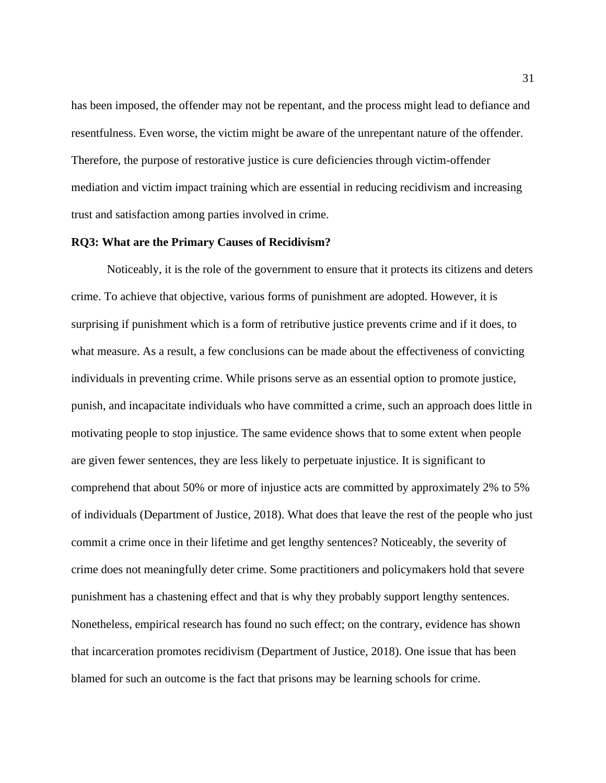has been imposed, the offender may not be repentant, and the process might lead to defiance and resentfulness. Even worse, the victim might be aware of the unrepentant nature of the offender. Therefore, the purpose of restorative justice is cure deficiencies through victim-offender mediation and victim impact training which are essential in reducing recidivism and increasing trust and satisfaction among parties involved in crime.

## **RQ3: What are the Primary Causes of Recidivism?**

Noticeably, it is the role of the government to ensure that it protects its citizens and deters crime. To achieve that objective, various forms of punishment are adopted. However, it is surprising if punishment which is a form of retributive justice prevents crime and if it does, to what measure. As a result, a few conclusions can be made about the effectiveness of convicting individuals in preventing crime. While prisons serve as an essential option to promote justice, punish, and incapacitate individuals who have committed a crime, such an approach does little in motivating people to stop injustice. The same evidence shows that to some extent when people are given fewer sentences, they are less likely to perpetuate injustice. It is significant to comprehend that about 50% or more of injustice acts are committed by approximately 2% to 5% of individuals (Department of Justice, 2018). What does that leave the rest of the people who just commit a crime once in their lifetime and get lengthy sentences? Noticeably, the severity of crime does not meaningfully deter crime. Some practitioners and policymakers hold that severe punishment has a chastening effect and that is why they probably support lengthy sentences. Nonetheless, empirical research has found no such effect; on the contrary, evidence has shown that incarceration promotes recidivism (Department of Justice, 2018). One issue that has been blamed for such an outcome is the fact that prisons may be learning schools for crime.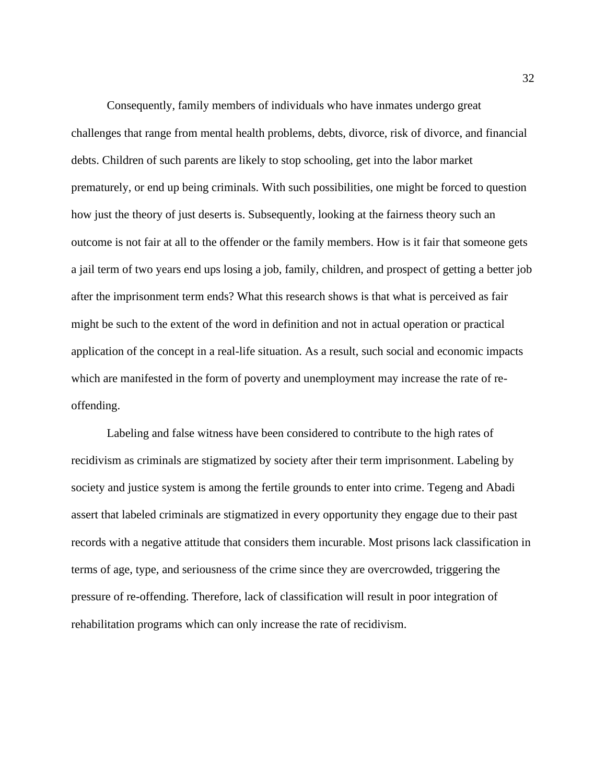Consequently, family members of individuals who have inmates undergo great challenges that range from mental health problems, debts, divorce, risk of divorce, and financial debts. Children of such parents are likely to stop schooling, get into the labor market prematurely, or end up being criminals. With such possibilities, one might be forced to question how just the theory of just deserts is. Subsequently, looking at the fairness theory such an outcome is not fair at all to the offender or the family members. How is it fair that someone gets a jail term of two years end ups losing a job, family, children, and prospect of getting a better job after the imprisonment term ends? What this research shows is that what is perceived as fair might be such to the extent of the word in definition and not in actual operation or practical application of the concept in a real-life situation. As a result, such social and economic impacts which are manifested in the form of poverty and unemployment may increase the rate of reoffending.

Labeling and false witness have been considered to contribute to the high rates of recidivism as criminals are stigmatized by society after their term imprisonment. Labeling by society and justice system is among the fertile grounds to enter into crime. Tegeng and Abadi assert that labeled criminals are stigmatized in every opportunity they engage due to their past records with a negative attitude that considers them incurable. Most prisons lack classification in terms of age, type, and seriousness of the crime since they are overcrowded, triggering the pressure of re-offending. Therefore, lack of classification will result in poor integration of rehabilitation programs which can only increase the rate of recidivism.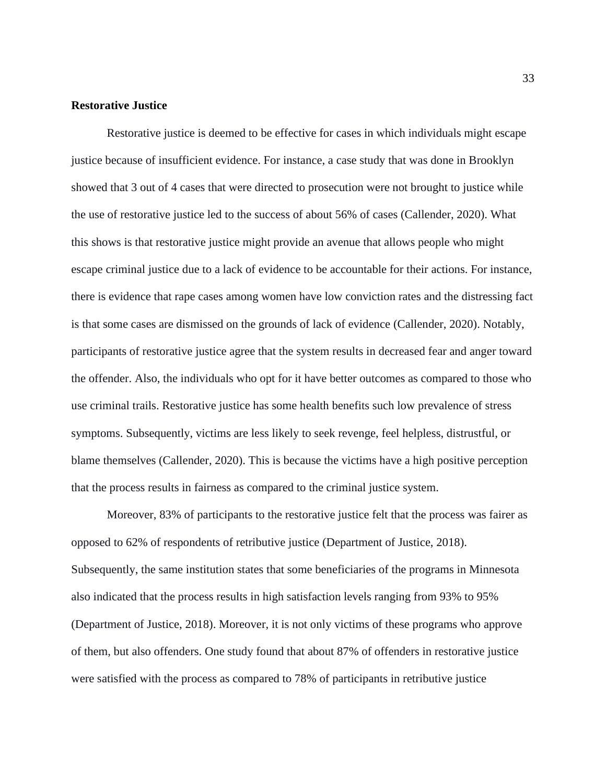# **Restorative Justice**

Restorative justice is deemed to be effective for cases in which individuals might escape justice because of insufficient evidence. For instance, a case study that was done in Brooklyn showed that 3 out of 4 cases that were directed to prosecution were not brought to justice while the use of restorative justice led to the success of about 56% of cases (Callender, 2020). What this shows is that restorative justice might provide an avenue that allows people who might escape criminal justice due to a lack of evidence to be accountable for their actions. For instance, there is evidence that rape cases among women have low conviction rates and the distressing fact is that some cases are dismissed on the grounds of lack of evidence (Callender, 2020). Notably, participants of restorative justice agree that the system results in decreased fear and anger toward the offender. Also, the individuals who opt for it have better outcomes as compared to those who use criminal trails. Restorative justice has some health benefits such low prevalence of stress symptoms. Subsequently, victims are less likely to seek revenge, feel helpless, distrustful, or blame themselves (Callender, 2020). This is because the victims have a high positive perception that the process results in fairness as compared to the criminal justice system.

Moreover, 83% of participants to the restorative justice felt that the process was fairer as opposed to 62% of respondents of retributive justice (Department of Justice, 2018). Subsequently, the same institution states that some beneficiaries of the programs in Minnesota also indicated that the process results in high satisfaction levels ranging from 93% to 95% (Department of Justice, 2018). Moreover, it is not only victims of these programs who approve of them, but also offenders. One study found that about 87% of offenders in restorative justice were satisfied with the process as compared to 78% of participants in retributive justice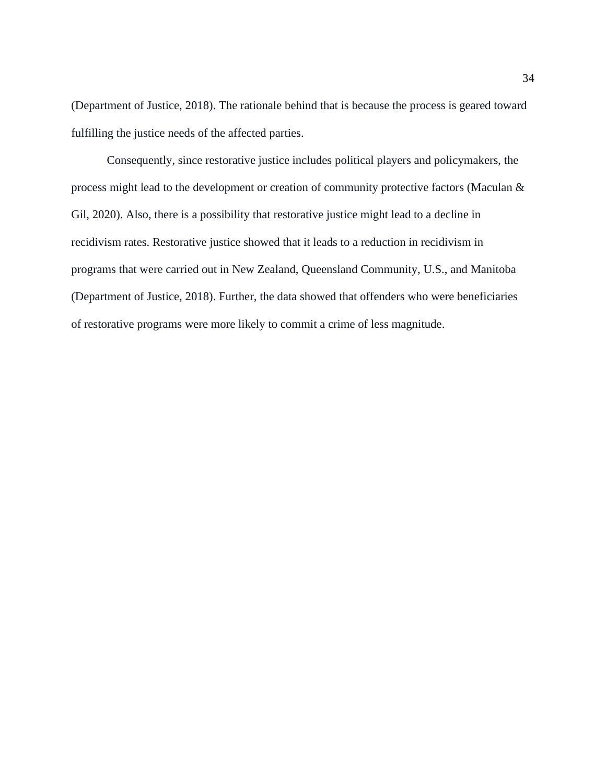(Department of Justice, 2018). The rationale behind that is because the process is geared toward fulfilling the justice needs of the affected parties.

Consequently, since restorative justice includes political players and policymakers, the process might lead to the development or creation of community protective factors (Maculan & Gil, 2020). Also, there is a possibility that restorative justice might lead to a decline in recidivism rates. Restorative justice showed that it leads to a reduction in recidivism in programs that were carried out in New Zealand, Queensland Community, U.S., and Manitoba (Department of Justice, 2018). Further, the data showed that offenders who were beneficiaries of restorative programs were more likely to commit a crime of less magnitude.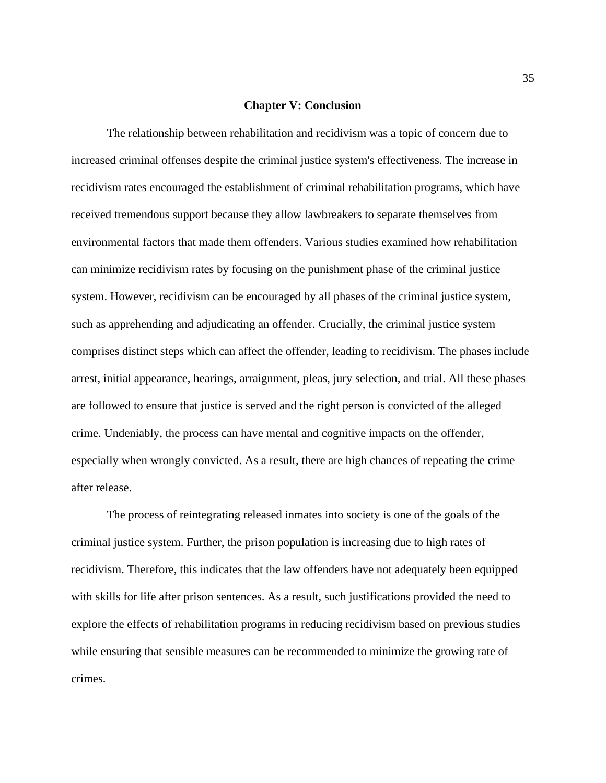# **Chapter V: Conclusion**

The relationship between rehabilitation and recidivism was a topic of concern due to increased criminal offenses despite the criminal justice system's effectiveness. The increase in recidivism rates encouraged the establishment of criminal rehabilitation programs, which have received tremendous support because they allow lawbreakers to separate themselves from environmental factors that made them offenders. Various studies examined how rehabilitation can minimize recidivism rates by focusing on the punishment phase of the criminal justice system. However, recidivism can be encouraged by all phases of the criminal justice system, such as apprehending and adjudicating an offender. Crucially, the criminal justice system comprises distinct steps which can affect the offender, leading to recidivism. The phases include arrest, initial appearance, hearings, arraignment, pleas, jury selection, and trial. All these phases are followed to ensure that justice is served and the right person is convicted of the alleged crime. Undeniably, the process can have mental and cognitive impacts on the offender, especially when wrongly convicted. As a result, there are high chances of repeating the crime after release.

The process of reintegrating released inmates into society is one of the goals of the criminal justice system. Further, the prison population is increasing due to high rates of recidivism. Therefore, this indicates that the law offenders have not adequately been equipped with skills for life after prison sentences. As a result, such justifications provided the need to explore the effects of rehabilitation programs in reducing recidivism based on previous studies while ensuring that sensible measures can be recommended to minimize the growing rate of crimes.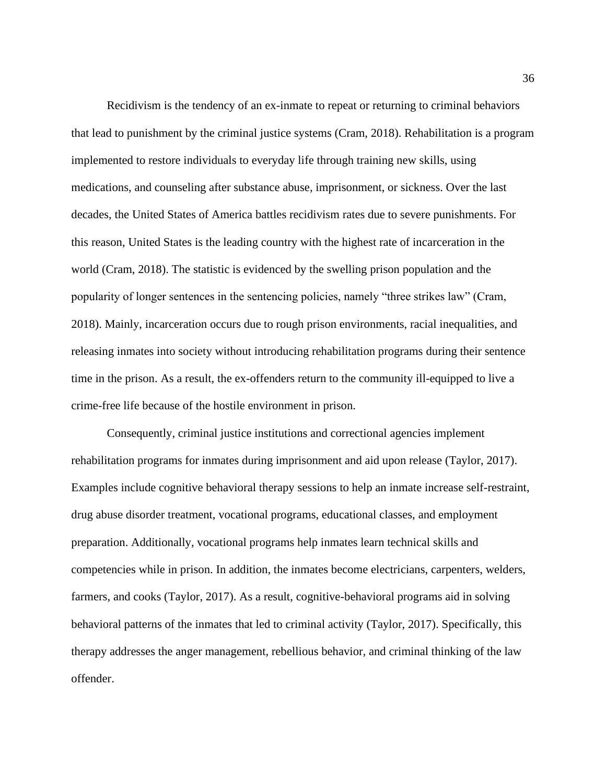Recidivism is the tendency of an ex-inmate to repeat or returning to criminal behaviors that lead to punishment by the criminal justice systems (Cram, 2018). Rehabilitation is a program implemented to restore individuals to everyday life through training new skills, using medications, and counseling after substance abuse, imprisonment, or sickness. Over the last decades, the United States of America battles recidivism rates due to severe punishments. For this reason, United States is the leading country with the highest rate of incarceration in the world (Cram, 2018). The statistic is evidenced by the swelling prison population and the popularity of longer sentences in the sentencing policies, namely "three strikes law" (Cram, 2018). Mainly, incarceration occurs due to rough prison environments, racial inequalities, and releasing inmates into society without introducing rehabilitation programs during their sentence time in the prison. As a result, the ex-offenders return to the community ill-equipped to live a crime-free life because of the hostile environment in prison.

Consequently, criminal justice institutions and correctional agencies implement rehabilitation programs for inmates during imprisonment and aid upon release (Taylor, 2017). Examples include cognitive behavioral therapy sessions to help an inmate increase self-restraint, drug abuse disorder treatment, vocational programs, educational classes, and employment preparation. Additionally, vocational programs help inmates learn technical skills and competencies while in prison. In addition, the inmates become electricians, carpenters, welders, farmers, and cooks (Taylor, 2017). As a result, cognitive-behavioral programs aid in solving behavioral patterns of the inmates that led to criminal activity (Taylor, 2017). Specifically, this therapy addresses the anger management, rebellious behavior, and criminal thinking of the law offender.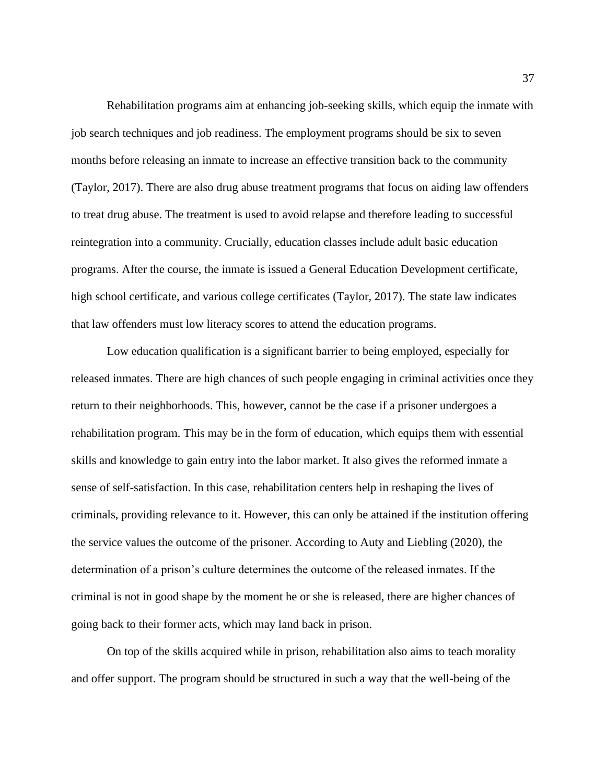Rehabilitation programs aim at enhancing job-seeking skills, which equip the inmate with job search techniques and job readiness. The employment programs should be six to seven months before releasing an inmate to increase an effective transition back to the community (Taylor, 2017). There are also drug abuse treatment programs that focus on aiding law offenders to treat drug abuse. The treatment is used to avoid relapse and therefore leading to successful reintegration into a community. Crucially, education classes include adult basic education programs. After the course, the inmate is issued a General Education Development certificate, high school certificate, and various college certificates (Taylor, 2017). The state law indicates that law offenders must low literacy scores to attend the education programs.

Low education qualification is a significant barrier to being employed, especially for released inmates. There are high chances of such people engaging in criminal activities once they return to their neighborhoods. This, however, cannot be the case if a prisoner undergoes a rehabilitation program. This may be in the form of education, which equips them with essential skills and knowledge to gain entry into the labor market. It also gives the reformed inmate a sense of self-satisfaction. In this case, rehabilitation centers help in reshaping the lives of criminals, providing relevance to it. However, this can only be attained if the institution offering the service values the outcome of the prisoner. According to Auty and Liebling (2020), the determination of a prison's culture determines the outcome of the released inmates. If the criminal is not in good shape by the moment he or she is released, there are higher chances of going back to their former acts, which may land back in prison.

On top of the skills acquired while in prison, rehabilitation also aims to teach morality and offer support. The program should be structured in such a way that the well-being of the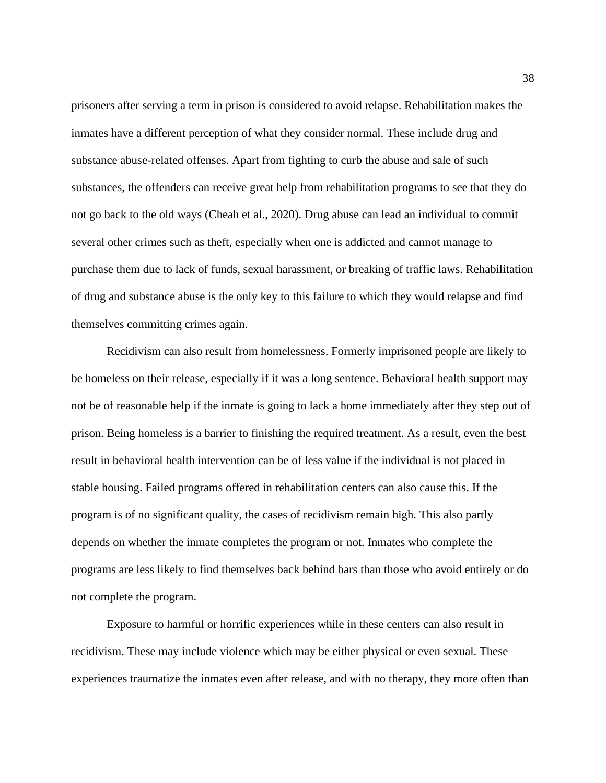prisoners after serving a term in prison is considered to avoid relapse. Rehabilitation makes the inmates have a different perception of what they consider normal. These include drug and substance abuse-related offenses. Apart from fighting to curb the abuse and sale of such substances, the offenders can receive great help from rehabilitation programs to see that they do not go back to the old ways (Cheah et al., 2020). Drug abuse can lead an individual to commit several other crimes such as theft, especially when one is addicted and cannot manage to purchase them due to lack of funds, sexual harassment, or breaking of traffic laws. Rehabilitation of drug and substance abuse is the only key to this failure to which they would relapse and find themselves committing crimes again.

Recidivism can also result from homelessness. Formerly imprisoned people are likely to be homeless on their release, especially if it was a long sentence. Behavioral health support may not be of reasonable help if the inmate is going to lack a home immediately after they step out of prison. Being homeless is a barrier to finishing the required treatment. As a result, even the best result in behavioral health intervention can be of less value if the individual is not placed in stable housing. Failed programs offered in rehabilitation centers can also cause this. If the program is of no significant quality, the cases of recidivism remain high. This also partly depends on whether the inmate completes the program or not. Inmates who complete the programs are less likely to find themselves back behind bars than those who avoid entirely or do not complete the program.

Exposure to harmful or horrific experiences while in these centers can also result in recidivism. These may include violence which may be either physical or even sexual. These experiences traumatize the inmates even after release, and with no therapy, they more often than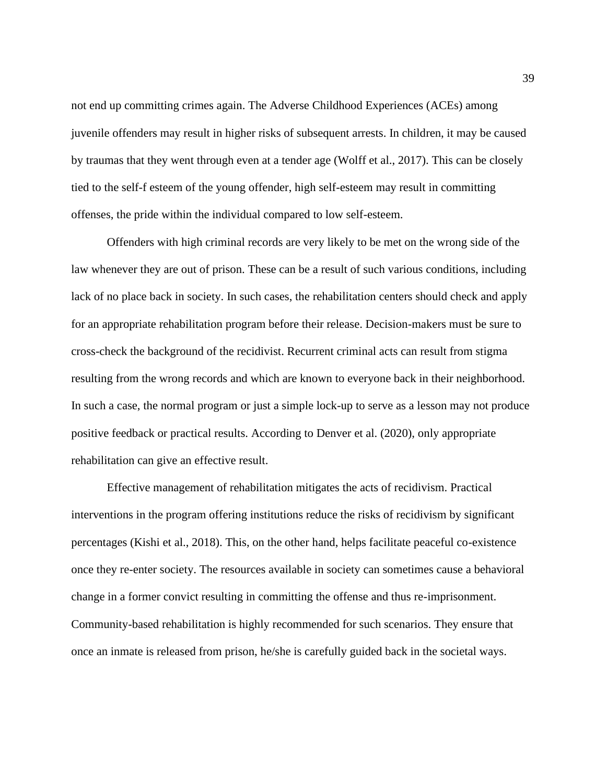not end up committing crimes again. The Adverse Childhood Experiences (ACEs) among juvenile offenders may result in higher risks of subsequent arrests. In children, it may be caused by traumas that they went through even at a tender age (Wolff et al., 2017). This can be closely tied to the self-f esteem of the young offender, high self-esteem may result in committing offenses, the pride within the individual compared to low self-esteem.

Offenders with high criminal records are very likely to be met on the wrong side of the law whenever they are out of prison. These can be a result of such various conditions, including lack of no place back in society. In such cases, the rehabilitation centers should check and apply for an appropriate rehabilitation program before their release. Decision-makers must be sure to cross-check the background of the recidivist. Recurrent criminal acts can result from stigma resulting from the wrong records and which are known to everyone back in their neighborhood. In such a case, the normal program or just a simple lock-up to serve as a lesson may not produce positive feedback or practical results. According to Denver et al. (2020), only appropriate rehabilitation can give an effective result.

Effective management of rehabilitation mitigates the acts of recidivism. Practical interventions in the program offering institutions reduce the risks of recidivism by significant percentages (Kishi et al., 2018). This, on the other hand, helps facilitate peaceful co-existence once they re-enter society. The resources available in society can sometimes cause a behavioral change in a former convict resulting in committing the offense and thus re-imprisonment. Community-based rehabilitation is highly recommended for such scenarios. They ensure that once an inmate is released from prison, he/she is carefully guided back in the societal ways.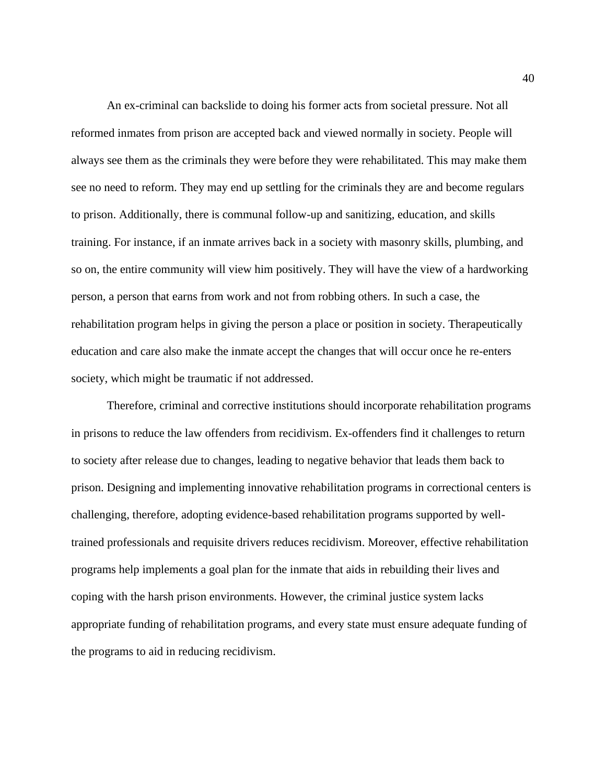An ex-criminal can backslide to doing his former acts from societal pressure. Not all reformed inmates from prison are accepted back and viewed normally in society. People will always see them as the criminals they were before they were rehabilitated. This may make them see no need to reform. They may end up settling for the criminals they are and become regulars to prison. Additionally, there is communal follow-up and sanitizing, education, and skills training. For instance, if an inmate arrives back in a society with masonry skills, plumbing, and so on, the entire community will view him positively. They will have the view of a hardworking person, a person that earns from work and not from robbing others. In such a case, the rehabilitation program helps in giving the person a place or position in society. Therapeutically education and care also make the inmate accept the changes that will occur once he re-enters society, which might be traumatic if not addressed.

Therefore, criminal and corrective institutions should incorporate rehabilitation programs in prisons to reduce the law offenders from recidivism. Ex-offenders find it challenges to return to society after release due to changes, leading to negative behavior that leads them back to prison. Designing and implementing innovative rehabilitation programs in correctional centers is challenging, therefore, adopting evidence-based rehabilitation programs supported by welltrained professionals and requisite drivers reduces recidivism. Moreover, effective rehabilitation programs help implements a goal plan for the inmate that aids in rebuilding their lives and coping with the harsh prison environments. However, the criminal justice system lacks appropriate funding of rehabilitation programs, and every state must ensure adequate funding of the programs to aid in reducing recidivism.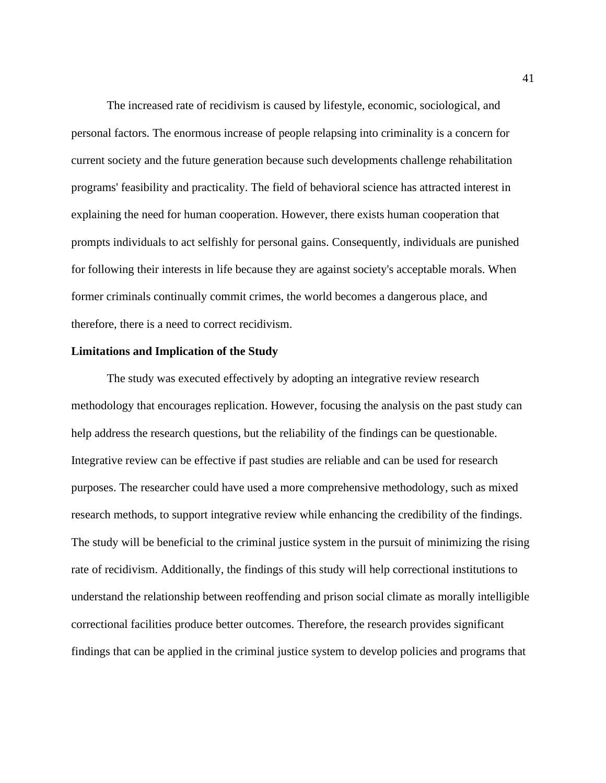The increased rate of recidivism is caused by lifestyle, economic, sociological, and personal factors. The enormous increase of people relapsing into criminality is a concern for current society and the future generation because such developments challenge rehabilitation programs' feasibility and practicality. The field of behavioral science has attracted interest in explaining the need for human cooperation. However, there exists human cooperation that prompts individuals to act selfishly for personal gains. Consequently, individuals are punished for following their interests in life because they are against society's acceptable morals. When former criminals continually commit crimes, the world becomes a dangerous place, and therefore, there is a need to correct recidivism.

## **Limitations and Implication of the Study**

The study was executed effectively by adopting an integrative review research methodology that encourages replication. However, focusing the analysis on the past study can help address the research questions, but the reliability of the findings can be questionable. Integrative review can be effective if past studies are reliable and can be used for research purposes. The researcher could have used a more comprehensive methodology, such as mixed research methods, to support integrative review while enhancing the credibility of the findings. The study will be beneficial to the criminal justice system in the pursuit of minimizing the rising rate of recidivism. Additionally, the findings of this study will help correctional institutions to understand the relationship between reoffending and prison social climate as morally intelligible correctional facilities produce better outcomes. Therefore, the research provides significant findings that can be applied in the criminal justice system to develop policies and programs that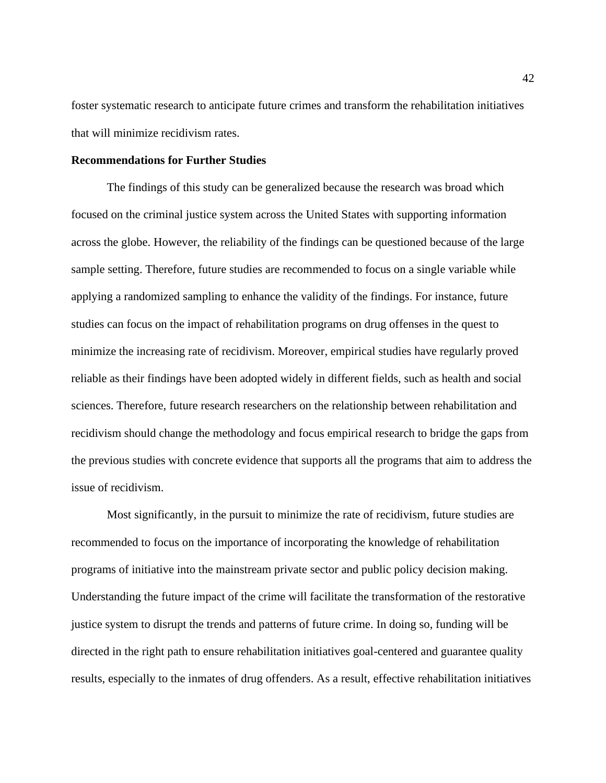foster systematic research to anticipate future crimes and transform the rehabilitation initiatives that will minimize recidivism rates.

# **Recommendations for Further Studies**

The findings of this study can be generalized because the research was broad which focused on the criminal justice system across the United States with supporting information across the globe. However, the reliability of the findings can be questioned because of the large sample setting. Therefore, future studies are recommended to focus on a single variable while applying a randomized sampling to enhance the validity of the findings. For instance, future studies can focus on the impact of rehabilitation programs on drug offenses in the quest to minimize the increasing rate of recidivism. Moreover, empirical studies have regularly proved reliable as their findings have been adopted widely in different fields, such as health and social sciences. Therefore, future research researchers on the relationship between rehabilitation and recidivism should change the methodology and focus empirical research to bridge the gaps from the previous studies with concrete evidence that supports all the programs that aim to address the issue of recidivism.

Most significantly, in the pursuit to minimize the rate of recidivism, future studies are recommended to focus on the importance of incorporating the knowledge of rehabilitation programs of initiative into the mainstream private sector and public policy decision making. Understanding the future impact of the crime will facilitate the transformation of the restorative justice system to disrupt the trends and patterns of future crime. In doing so, funding will be directed in the right path to ensure rehabilitation initiatives goal-centered and guarantee quality results, especially to the inmates of drug offenders. As a result, effective rehabilitation initiatives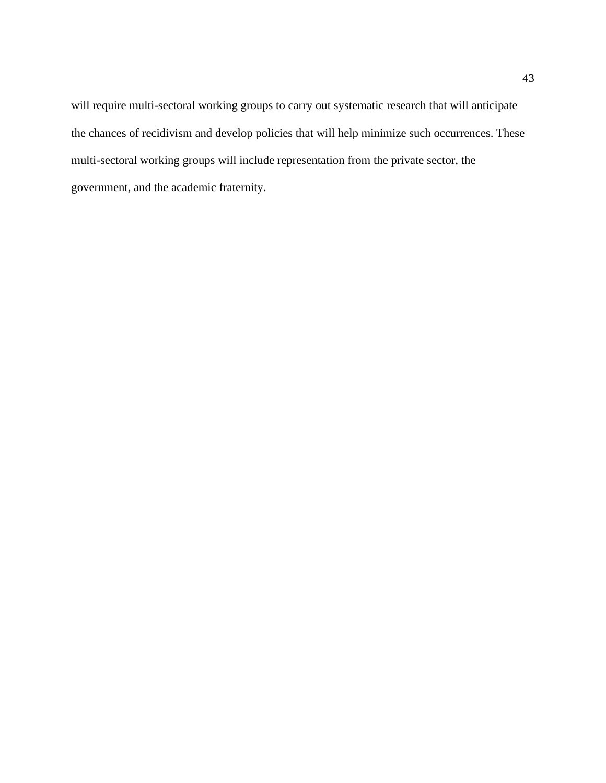will require multi-sectoral working groups to carry out systematic research that will anticipate the chances of recidivism and develop policies that will help minimize such occurrences. These multi-sectoral working groups will include representation from the private sector, the government, and the academic fraternity.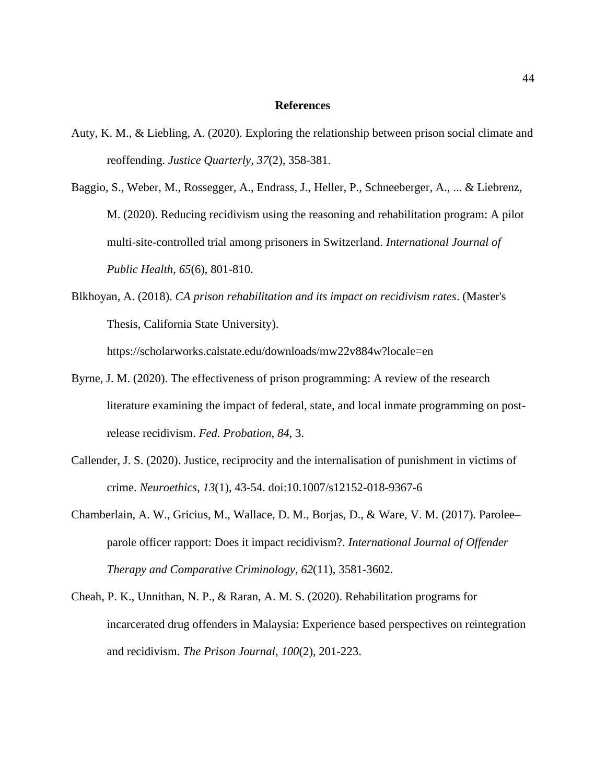# **References**

- Auty, K. M., & Liebling, A. (2020). Exploring the relationship between prison social climate and reoffending. *Justice Quarterly*, *37*(2), 358-381.
- Baggio, S., Weber, M., Rossegger, A., Endrass, J., Heller, P., Schneeberger, A., ... & Liebrenz, M. (2020). Reducing recidivism using the reasoning and rehabilitation program: A pilot multi-site-controlled trial among prisoners in Switzerland. *International Journal of Public Health*, *65*(6), 801-810.
- Blkhoyan, A. (2018). *CA prison rehabilitation and its impact on recidivism rates*. (Master's Thesis, California State University). https://scholarworks.calstate.edu/downloads/mw22v884w?locale=en
- Byrne, J. M. (2020). The effectiveness of prison programming: A review of the research literature examining the impact of federal, state, and local inmate programming on postrelease recidivism. *Fed. Probation*, *84*, 3.
- Callender, J. S. (2020). Justice, reciprocity and the internalisation of punishment in victims of crime. *Neuroethics*, *13*(1), 43-54. doi:10.1007/s12152-018-9367-6
- Chamberlain, A. W., Gricius, M., Wallace, D. M., Borjas, D., & Ware, V. M. (2017). Parolee– parole officer rapport: Does it impact recidivism?. *International Journal of Offender Therapy and Comparative Criminology*, *62*(11), 3581-3602.
- Cheah, P. K., Unnithan, N. P., & Raran, A. M. S. (2020). Rehabilitation programs for incarcerated drug offenders in Malaysia: Experience based perspectives on reintegration and recidivism. *The Prison Journal*, *100*(2), 201-223.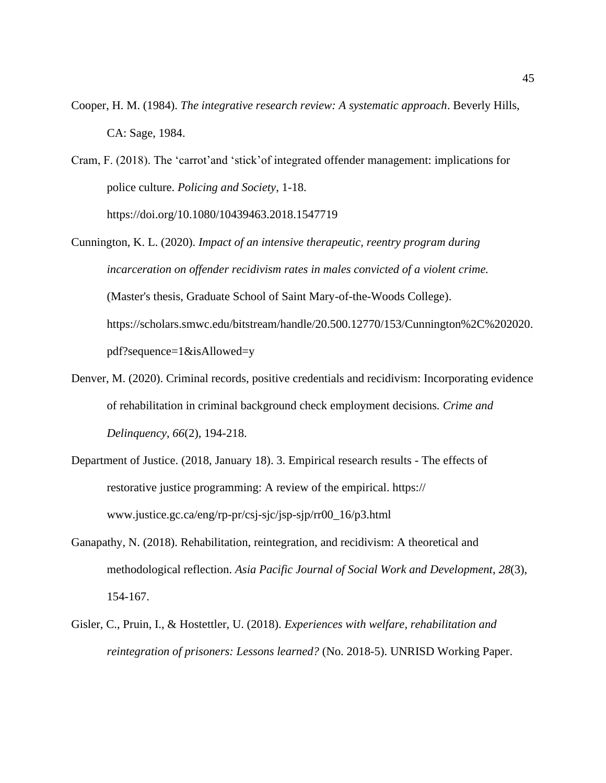- Cooper, H. M. (1984). *The integrative research review: A systematic approach*. Beverly Hills, CA: Sage, 1984.
- Cram, F. (2018). The 'carrot'and 'stick'of integrated offender management: implications for police culture. *Policing and Society*, 1-18. https://doi.org/10.1080/10439463.2018.1547719
- Cunnington, K. L. (2020). *Impact of an intensive therapeutic, reentry program during incarceration on offender recidivism rates in males convicted of a violent crime.* (Master's thesis, Graduate School of Saint Mary-of-the-Woods College). https://scholars.smwc.edu/bitstream/handle/20.500.12770/153/Cunnington%2C%202020. pdf?sequence=1&isAllowed=y
- Denver, M. (2020). Criminal records, positive credentials and recidivism: Incorporating evidence of rehabilitation in criminal background check employment decisions*. Crime and Delinquency*, *66*(2), 194-218.
- Department of Justice. (2018, January 18). 3. Empirical research results The effects of restorative justice programming: A review of the empirical. https:// www.justice.gc.ca/eng/rp-pr/csj-sjc/jsp-sjp/rr00\_16/p3.html
- Ganapathy, N. (2018). Rehabilitation, reintegration, and recidivism: A theoretical and methodological reflection. *Asia Pacific Journal of Social Work and Development*, *28*(3), 154-167.
- Gisler, C., Pruin, I., & Hostettler, U. (2018). *Experiences with welfare, rehabilitation and reintegration of prisoners: Lessons learned?* (No. 2018-5). UNRISD Working Paper.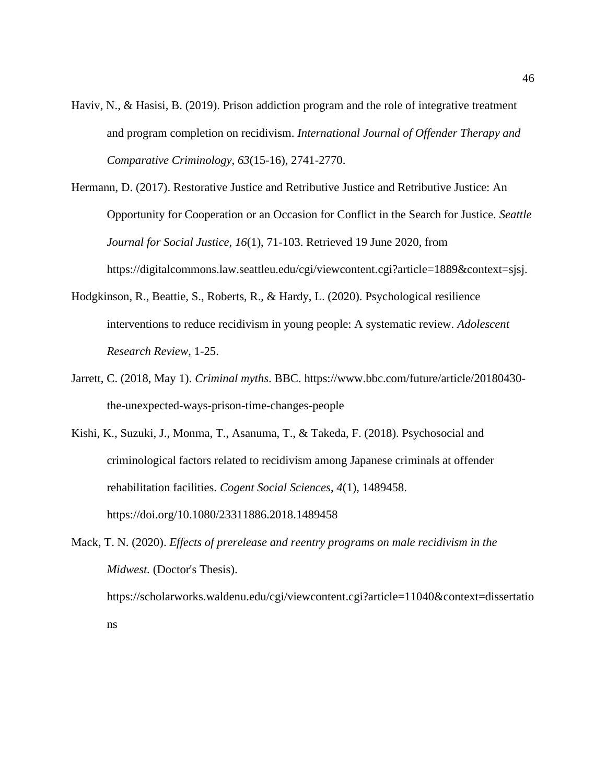- Haviv, N., & Hasisi, B. (2019). Prison addiction program and the role of integrative treatment and program completion on recidivism. *International Journal of Offender Therapy and Comparative Criminology*, *63*(15-16), 2741-2770.
- Hermann, D. (2017). Restorative Justice and Retributive Justice and Retributive Justice: An Opportunity for Cooperation or an Occasion for Conflict in the Search for Justice. *Seattle Journal for Social Justice*, *16*(1), 71-103. Retrieved 19 June 2020, from https://digitalcommons.law.seattleu.edu/cgi/viewcontent.cgi?article=1889&context=sjsj.
- Hodgkinson, R., Beattie, S., Roberts, R., & Hardy, L. (2020). Psychological resilience interventions to reduce recidivism in young people: A systematic review. *Adolescent Research Review*, 1-25.
- Jarrett, C. (2018, May 1). *Criminal myths*. BBC. https://www.bbc.com/future/article/20180430 the-unexpected-ways-prison-time-changes-people
- Kishi, K., Suzuki, J., Monma, T., Asanuma, T., & Takeda, F. (2018). Psychosocial and criminological factors related to recidivism among Japanese criminals at offender rehabilitation facilities. *Cogent Social Sciences*, *4*(1), 1489458. https://doi.org/10.1080/23311886.2018.1489458
- Mack, T. N. (2020). *Effects of prerelease and reentry programs on male recidivism in the Midwest.* (Doctor's Thesis). https://scholarworks.waldenu.edu/cgi/viewcontent.cgi?article=11040&context=dissertatio ns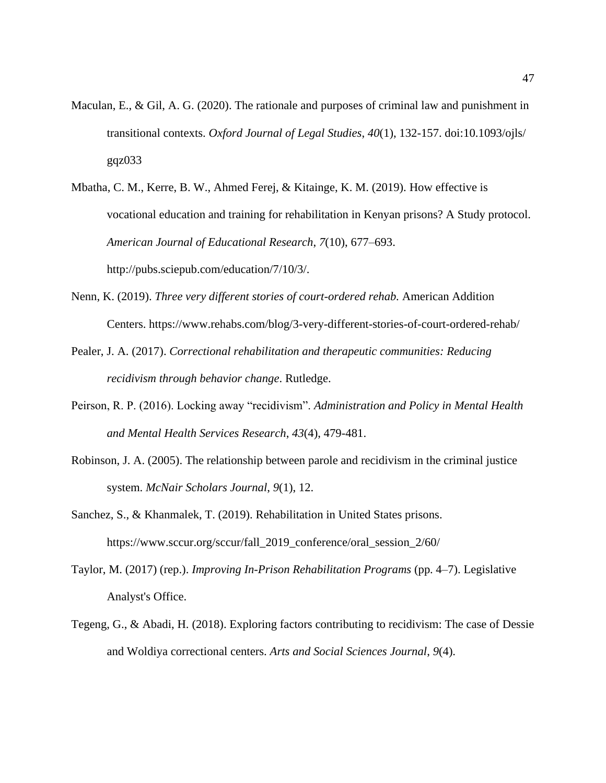- Maculan, E., & Gil, A. G. (2020). The rationale and purposes of criminal law and punishment in transitional contexts. *Oxford Journal of Legal Studies*, *40*(1), 132-157. doi:10.1093/ojls/ gqz033
- Mbatha, C. M., Kerre, B. W., Ahmed Ferej, & Kitainge, K. M. (2019). How effective is vocational education and training for rehabilitation in Kenyan prisons? A Study protocol. *American Journal of Educational Research*, *7*(10), 677–693. http://pubs.sciepub.com/education/7/10/3/.
- Nenn, K. (2019). *Three very different stories of court-ordered rehab.* American Addition Centers. https://www.rehabs.com/blog/3-very-different-stories-of-court-ordered-rehab/
- Pealer, J. A. (2017). *Correctional rehabilitation and therapeutic communities: Reducing recidivism through behavior change*. Rutledge.
- Peirson, R. P. (2016). Locking away "recidivism". *Administration and Policy in Mental Health and Mental Health Services Research*, *43*(4), 479-481.
- Robinson, J. A. (2005). The relationship between parole and recidivism in the criminal justice system. *McNair Scholars Journal*, *9*(1), 12.
- Sanchez, S., & Khanmalek, T. (2019). Rehabilitation in United States prisons. https://www.sccur.org/sccur/fall\_2019\_conference/oral\_session\_2/60/
- Taylor, M. (2017) (rep.). *Improving In-Prison Rehabilitation Programs* (pp. 4–7). Legislative Analyst's Office.
- Tegeng, G., & Abadi, H. (2018). Exploring factors contributing to recidivism: The case of Dessie and Woldiya correctional centers. *Arts and Social Sciences Journal*, *9*(4).